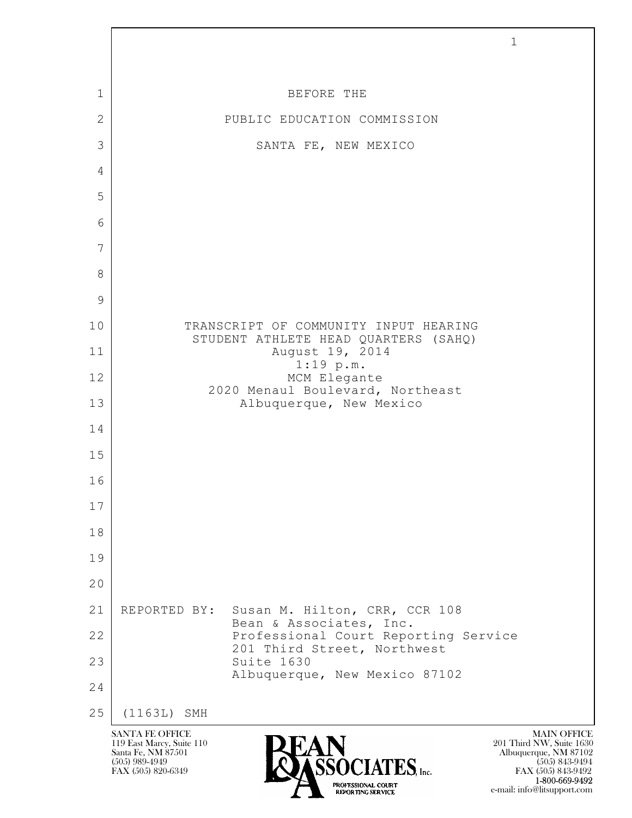

 1-800-669-9492 e-mail: info@litsupport.com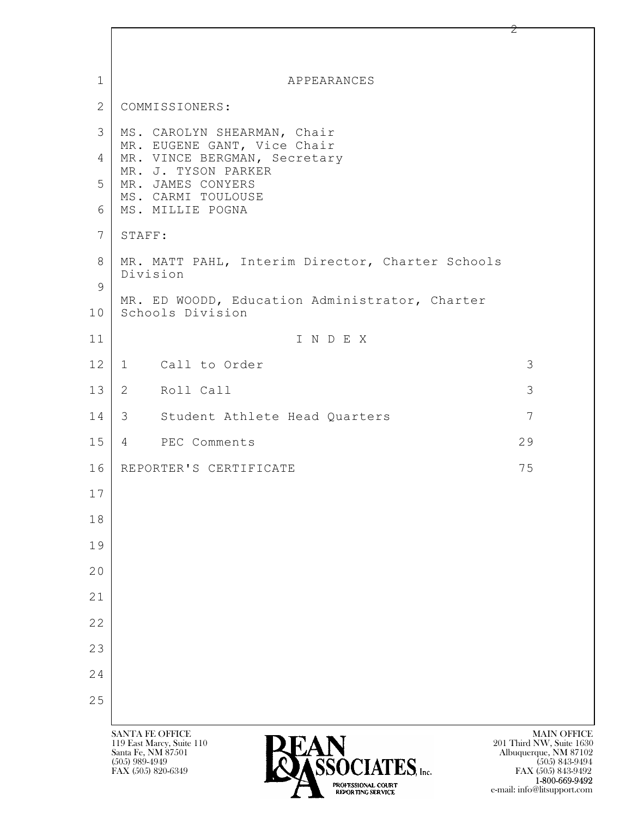| $\mathbf{1}$ | APPEARANCES                                                        |                                                   |
|--------------|--------------------------------------------------------------------|---------------------------------------------------|
| 2            | COMMISSIONERS:                                                     |                                                   |
| 3            | MS. CAROLYN SHEARMAN, Chair<br>MR. EUGENE GANT, Vice Chair         |                                                   |
| 4            | MR. VINCE BERGMAN, Secretary<br>MR. J. TYSON PARKER                |                                                   |
| 5            | MR. JAMES CONYERS<br>MS. CARMI TOULOUSE                            |                                                   |
| 6            | MS. MILLIE POGNA                                                   |                                                   |
| 7            | STAFF:                                                             |                                                   |
| 8<br>9       | MR. MATT PAHL, Interim Director, Charter Schools<br>Division       |                                                   |
| 10           | MR. ED WOODD, Education Administrator, Charter<br>Schools Division |                                                   |
| 11           | INDEX                                                              |                                                   |
| 12           | 1 Call to Order                                                    | 3                                                 |
| 13           | 2 Roll Call                                                        | 3                                                 |
| 14           | 3 Student Athlete Head Quarters                                    | 7                                                 |
| 15           | 4 PEC Comments                                                     | 29                                                |
| 16           | REPORTER'S CERTIFICATE                                             | 75                                                |
| 17           |                                                                    |                                                   |
| 18           |                                                                    |                                                   |
| 19           |                                                                    |                                                   |
| 20           |                                                                    |                                                   |
| 21           |                                                                    |                                                   |
| 22           |                                                                    |                                                   |
| 23           |                                                                    |                                                   |
| 24           |                                                                    |                                                   |
| 25           |                                                                    |                                                   |
|              | <b>SANTA FE OFFICE</b>                                             | <b>MAIN OFFICE</b>                                |
|              | <b>PEAN</b><br>119 East Marcy, Suite 110<br>Santa Fe, NM 87501     | 201 Third NW, Suite 1630<br>Albuquerque, NM 87102 |

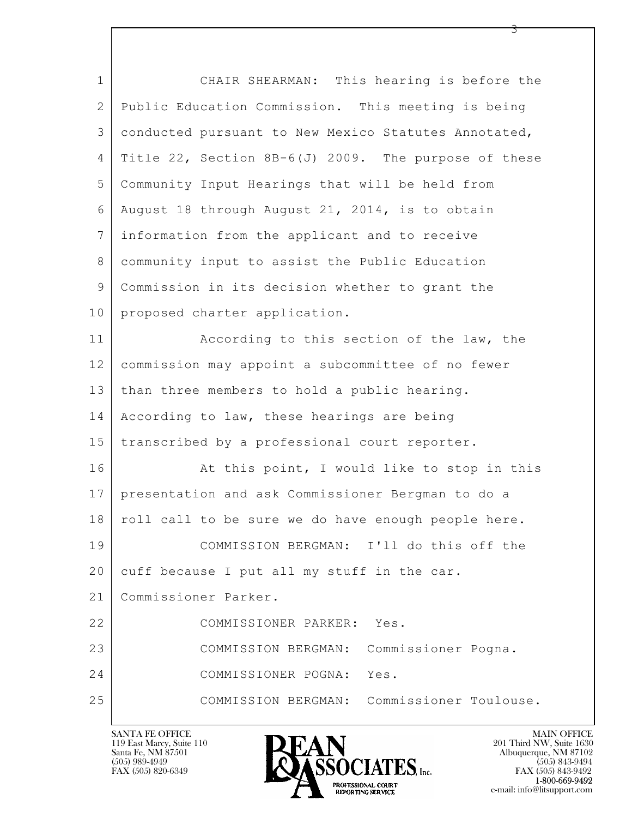| $\mathbf 1$  | CHAIR SHEARMAN: This hearing is before the           |
|--------------|------------------------------------------------------|
| $\mathbf{2}$ | Public Education Commission. This meeting is being   |
| 3            | conducted pursuant to New Mexico Statutes Annotated, |
| 4            | Title 22, Section 8B-6(J) 2009. The purpose of these |
| 5            | Community Input Hearings that will be held from      |
| 6            | August 18 through August 21, 2014, is to obtain      |
| 7            | information from the applicant and to receive        |
| 8            | community input to assist the Public Education       |
| 9            | Commission in its decision whether to grant the      |
| 10           | proposed charter application.                        |
| 11           | According to this section of the law, the            |
| 12           | commission may appoint a subcommittee of no fewer    |
| 13           | than three members to hold a public hearing.         |
| 14           | According to law, these hearings are being           |
| 15           | transcribed by a professional court reporter.        |
| 16           | At this point, I would like to stop in this          |
| 17           | presentation and ask Commissioner Bergman to do a    |
| 18           | roll call to be sure we do have enough people here.  |
| 19           | COMMISSION BERGMAN: I'll do this off the             |
| 20           | cuff because I put all my stuff in the car.          |
| 21           | Commissioner Parker.                                 |
| 22           | COMMISSIONER PARKER: Yes.                            |
| 23           | COMMISSION BERGMAN: Commissioner Pogna.              |
| 24           | COMMISSIONER POGNA:<br>Yes.                          |
| 25           | COMMISSION BERGMAN: Commissioner Toulouse.           |

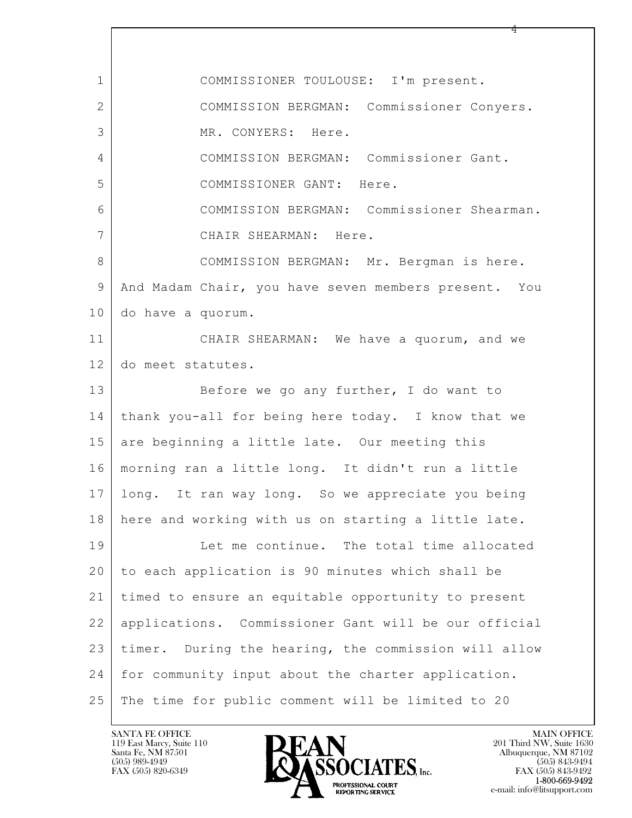| $\mathbf 1$    | COMMISSIONER TOULOUSE: I'm present.                     |
|----------------|---------------------------------------------------------|
| $\overline{2}$ | COMMISSION BERGMAN: Commissioner Conyers.               |
| 3              | MR. CONYERS: Here.                                      |
| 4              | COMMISSION BERGMAN: Commissioner Gant.                  |
| 5              | COMMISSIONER GANT: Here.                                |
| 6              | COMMISSION BERGMAN: Commissioner Shearman.              |
| 7              | CHAIR SHEARMAN: Here.                                   |
| 8              | COMMISSION BERGMAN: Mr. Bergman is here.                |
| $\mathcal{G}$  | And Madam Chair, you have seven members present. You    |
| 10             | do have a quorum.                                       |
| 11             | CHAIR SHEARMAN: We have a quorum, and we                |
| 12             | do meet statutes.                                       |
| 13             | Before we go any further, I do want to                  |
| 14             | thank you-all for being here today. I know that we      |
| 15             | are beginning a little late. Our meeting this           |
| 16             | morning ran a little long. It didn't run a little       |
| 17             | long. It ran way long. So we appreciate you being       |
| 18             | here and working with us on starting a little late.     |
| 19             | Let me continue. The total time allocated               |
| 20             | to each application is 90 minutes which shall be        |
| 21             | timed to ensure an equitable opportunity to present     |
| 22             | applications. Commissioner Gant will be our official    |
| 23             | During the hearing, the commission will allow<br>timer. |
| 24             | for community input about the charter application.      |
| 25             | The time for public comment will be limited to 20       |

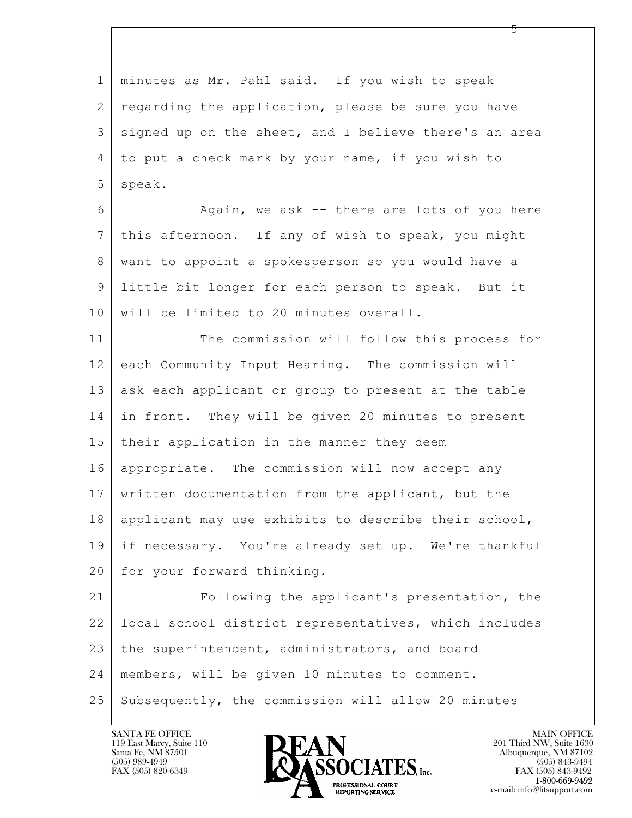$\mathbf{L}$  1 minutes as Mr. Pahl said. If you wish to speak 2 regarding the application, please be sure you have 3 signed up on the sheet, and I believe there's an area 4 to put a check mark by your name, if you wish to 5 | speak. 6 Again, we ask -- there are lots of you here 7 this afternoon. If any of wish to speak, you might 8 want to appoint a spokesperson so you would have a 9 little bit longer for each person to speak. But it 10 will be limited to 20 minutes overall. 11 The commission will follow this process for 12 each Community Input Hearing. The commission will 13 ask each applicant or group to present at the table 14 in front. They will be given 20 minutes to present 15 their application in the manner they deem 16 appropriate. The commission will now accept any 17 written documentation from the applicant, but the 18 applicant may use exhibits to describe their school, 19 if necessary. You're already set up. We're thankful 20 | for your forward thinking. 21 Following the applicant's presentation, the 22 local school district representatives, which includes 23 the superintendent, administrators, and board 24 members, will be given 10 minutes to comment. 25 Subsequently, the commission will allow 20 minutes



FAX (505) 843-9492 e-mail: info@litsupport.com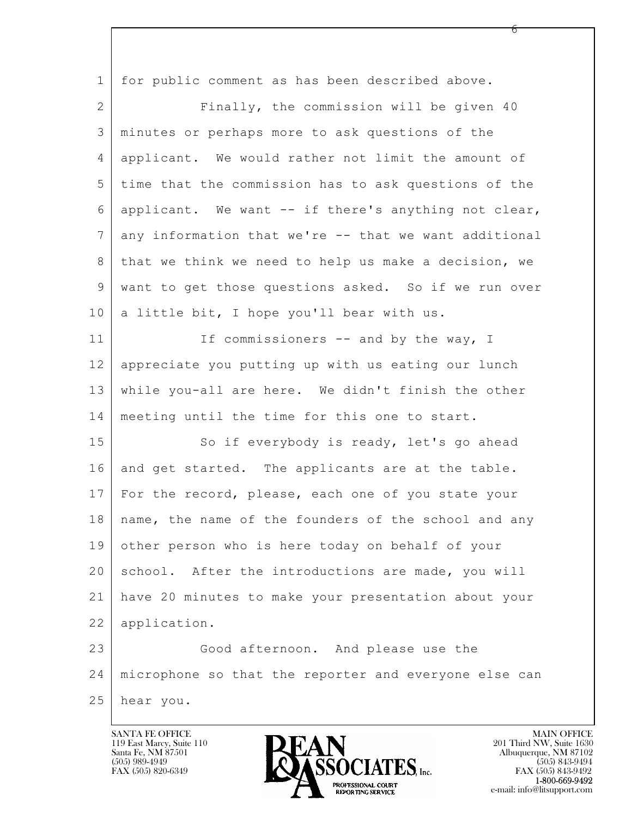| $\mathbf 1$    | for public comment as has been described above.           |
|----------------|-----------------------------------------------------------|
| $\overline{2}$ | Finally, the commission will be given 40                  |
| 3              | minutes or perhaps more to ask questions of the           |
| 4              | applicant. We would rather not limit the amount of        |
| 5              | time that the commission has to ask questions of the      |
| 6              | applicant. We want -- if there's anything not clear,      |
| $\overline{7}$ | any information that we're -- that we want additional     |
| 8              | that we think we need to help us make a decision, we      |
| 9              | want to get those questions asked. So if we run over      |
| 10             | a little bit, I hope you'll bear with us.                 |
| 11             | If commissioners -- and by the way, I                     |
| 12             | appreciate you putting up with us eating our lunch        |
| 13             | while you-all are here. We didn't finish the other        |
| 14             | meeting until the time for this one to start.             |
| 15             | So if everybody is ready, let's go ahead                  |
| 16             | and get started. The applicants are at the table.         |
| 17             | For the record, please, each one of you state your        |
|                | 18   name, the name of the founders of the school and any |
| 19             | other person who is here today on behalf of your          |
| 20             | school. After the introductions are made, you will        |
| 21             | have 20 minutes to make your presentation about your      |
| 22             | application.                                              |
| 23             | Good afternoon. And please use the                        |
| 24             | microphone so that the reporter and everyone else can     |
| 25             | hear you.                                                 |

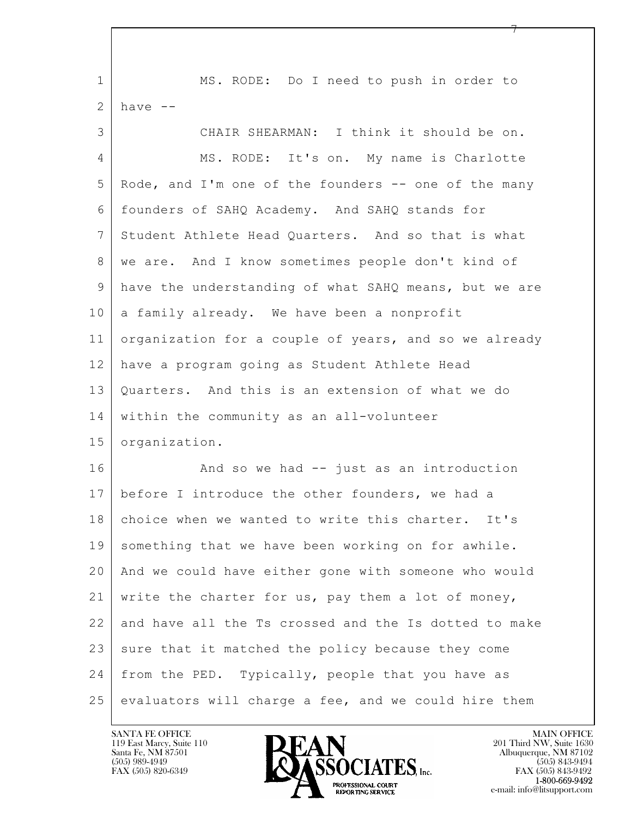$\mathbf{L}$  1 MS. RODE: Do I need to push in order to  $2$  have  $-$ 3 CHAIR SHEARMAN: I think it should be on. 4 MS. RODE: It's on. My name is Charlotte 5 Rode, and I'm one of the founders -- one of the many 6 founders of SAHQ Academy. And SAHQ stands for 7 Student Athlete Head Quarters. And so that is what 8 | we are. And I know sometimes people don't kind of 9 have the understanding of what SAHQ means, but we are  $10$  a family already. We have been a nonprofit 11 organization for a couple of years, and so we already 12 have a program going as Student Athlete Head 13 | Quarters. And this is an extension of what we do 14 within the community as an all-volunteer 15 organization. 16 And so we had -- just as an introduction 17 before I introduce the other founders, we had a 18 choice when we wanted to write this charter. It's 19 something that we have been working on for awhile. 20 And we could have either gone with someone who would 21 write the charter for us, pay them a lot of money, 22 and have all the Ts crossed and the Is dotted to make 23 | sure that it matched the policy because they come 24 | from the PED. Typically, people that you have as  $25$  evaluators will charge a fee, and we could hire them

119 East Marcy, Suite 110<br>Santa Fe, NM 87501



FAX (505) 843-9492 e-mail: info@litsupport.com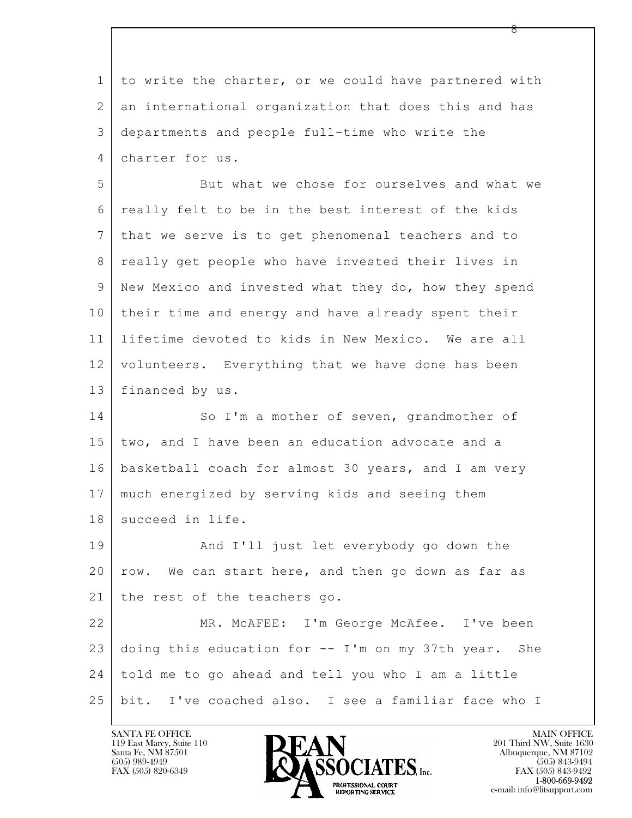| $\mathbf 1$    | to write the charter, or we could have partnered with |
|----------------|-------------------------------------------------------|
| $\overline{2}$ | an international organization that does this and has  |
| 3              | departments and people full-time who write the        |
| 4              | charter for us.                                       |
| 5              | But what we chose for ourselves and what we           |
| 6              | really felt to be in the best interest of the kids    |
| 7              | that we serve is to get phenomenal teachers and to    |
| 8              | really get people who have invested their lives in    |
| 9              | New Mexico and invested what they do, how they spend  |
| 10             | their time and energy and have already spent their    |
| 11             | lifetime devoted to kids in New Mexico. We are all    |
| 12             | volunteers. Everything that we have done has been     |
| 13             | financed by us.                                       |
| 14             | So I'm a mother of seven, grandmother of              |
| 15             | two, and I have been an education advocate and a      |
| 16             | basketball coach for almost 30 years, and I am very   |
| 17             | much energized by serving kids and seeing them        |
| 18             | succeed in life.                                      |
| 19             | And I'll just let everybody go down the               |
| 20             | row. We can start here, and then go down as far as    |
| 21             | the rest of the teachers go.                          |
| 22             | MR. MCAFEE: I'm George McAfee. I've been              |
| 23             | doing this education for -- I'm on my 37th year. She  |
| 24             | told me to go ahead and tell you who I am a little    |
| 25             | bit. I've coached also. I see a familiar face who I   |

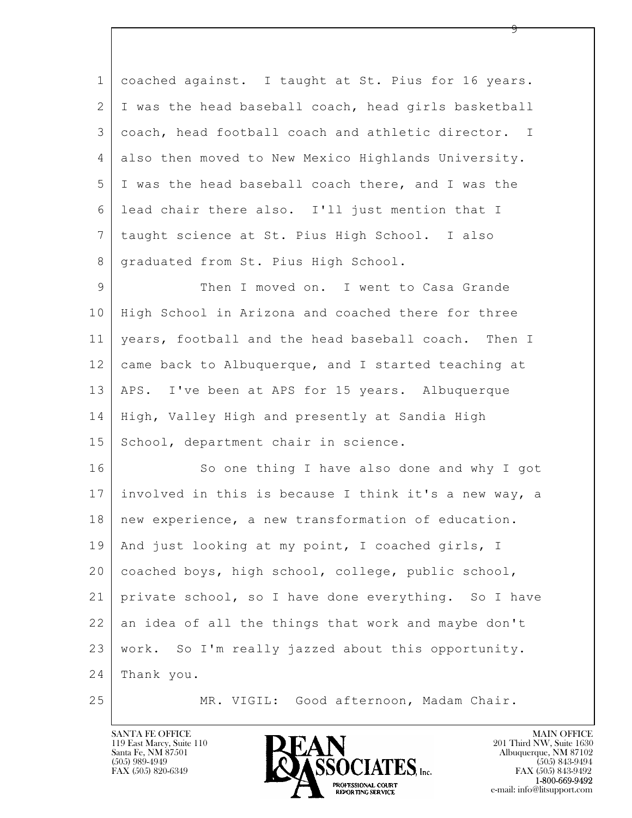| $\mathbf{1}$ | coached against. I taught at St. Pius for 16 years.   |
|--------------|-------------------------------------------------------|
| 2            | I was the head baseball coach, head girls basketball  |
| 3            | coach, head football coach and athletic director. I   |
| 4            | also then moved to New Mexico Highlands University.   |
| 5            | I was the head baseball coach there, and I was the    |
| 6            | lead chair there also. I'll just mention that I       |
| 7            | taught science at St. Pius High School. I also        |
| 8            | graduated from St. Pius High School.                  |
| 9            | Then I moved on. I went to Casa Grande                |
| 10           | High School in Arizona and coached there for three    |
| 11           | years, football and the head baseball coach. Then I   |
| 12           | came back to Albuquerque, and I started teaching at   |
| 13           | APS. I've been at APS for 15 years. Albuquerque       |
| 14           | High, Valley High and presently at Sandia High        |
| 15           | School, department chair in science.                  |
| 16           | So one thing I have also done and why I got           |
| 17           | involved in this is because I think it's a new way, a |
| 18           | new experience, a new transformation of education.    |
| 19           | And just looking at my point, I coached girls, I      |
| 20           | coached boys, high school, college, public school,    |
| 21           | private school, so I have done everything. So I have  |
| 22           | an idea of all the things that work and maybe don't   |
| 23           | work. So I'm really jazzed about this opportunity.    |
| 24           | Thank you.                                            |
| 25           | MR. VIGIL: Good afternoon, Madam Chair.               |

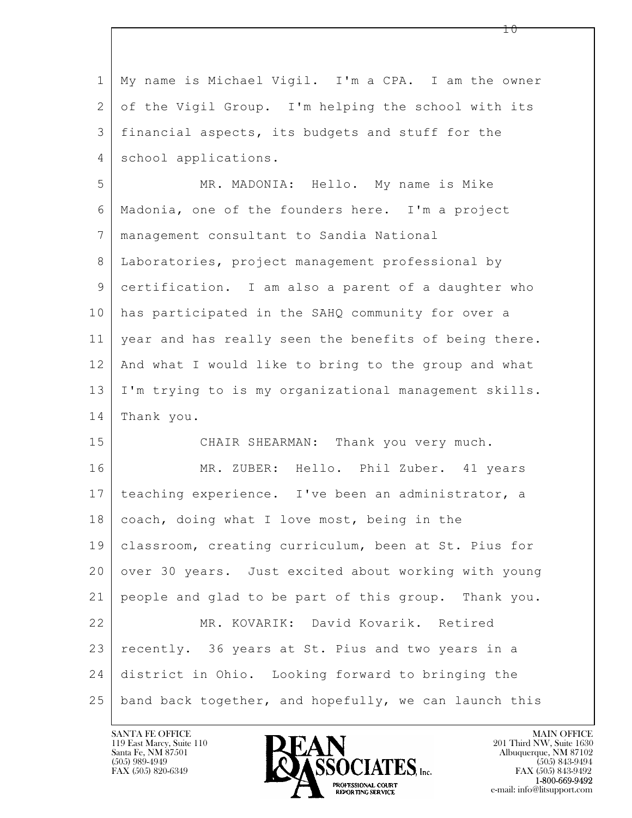$\mathbf{L}$  1 My name is Michael Vigil. I'm a CPA. I am the owner 2 of the Vigil Group. I'm helping the school with its 3 financial aspects, its budgets and stuff for the 4 school applications. 5 MR. MADONIA: Hello. My name is Mike 6 Madonia, one of the founders here. I'm a project 7 management consultant to Sandia National 8 Laboratories, project management professional by 9 certification. I am also a parent of a daughter who 10 has participated in the SAHQ community for over a 11 year and has really seen the benefits of being there. 12 And what I would like to bring to the group and what 13 I'm trying to is my organizational management skills. 14 Thank you. 15 CHAIR SHEARMAN: Thank you very much. 16 | MR. ZUBER: Hello. Phil Zuber. 41 years 17 | teaching experience. I've been an administrator, a 18 coach, doing what I love most, being in the 19 classroom, creating curriculum, been at St. Pius for 20 over 30 years. Just excited about working with young 21 people and glad to be part of this group. Thank you. 22 MR. KOVARIK: David Kovarik. Retired 23 recently. 36 years at St. Pius and two years in a 24 district in Ohio. Looking forward to bringing the 25 | band back together, and hopefully, we can launch this

119 East Marcy, Suite 110<br>Santa Fe, NM 87501



FAX (505) 843-9492 e-mail: info@litsupport.com

1 ი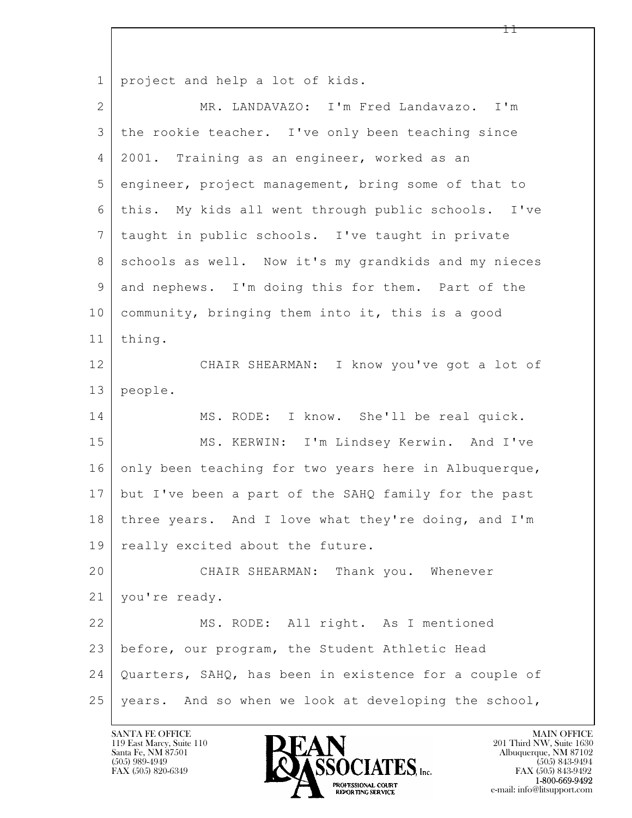1 project and help a lot of kids.

| $\overline{2}$ | MR. LANDAVAZO: I'm Fred Landavazo. I'm                |
|----------------|-------------------------------------------------------|
| 3              | the rookie teacher. I've only been teaching since     |
| $\overline{4}$ | 2001. Training as an engineer, worked as an           |
| 5              | engineer, project management, bring some of that to   |
| 6              | this. My kids all went through public schools. I've   |
| 7              | taught in public schools. I've taught in private      |
| 8              | schools as well. Now it's my grandkids and my nieces  |
| $\mathsf 9$    | and nephews. I'm doing this for them. Part of the     |
| 10             | community, bringing them into it, this is a good      |
| 11             | thing.                                                |
| 12             | CHAIR SHEARMAN: I know you've got a lot of            |
| 13             | people.                                               |
| 14             | MS. RODE: I know. She'll be real quick.               |
| 15             | MS. KERWIN: I'm Lindsey Kerwin. And I've              |
| 16             | only been teaching for two years here in Albuquerque, |
| 17             | but I've been a part of the SAHQ family for the past  |
| 18             | three years. And I love what they're doing, and I'm   |
| 19             | really excited about the future.                      |
| 20             | CHAIR SHEARMAN: Thank you. Whenever                   |
| 21             | you're ready.                                         |
| 22             | MS. RODE: All right. As I mentioned                   |
| 23             | before, our program, the Student Athletic Head        |
| 24             | Quarters, SAHQ, has been in existence for a couple of |
| 25             | years. And so when we look at developing the school,  |

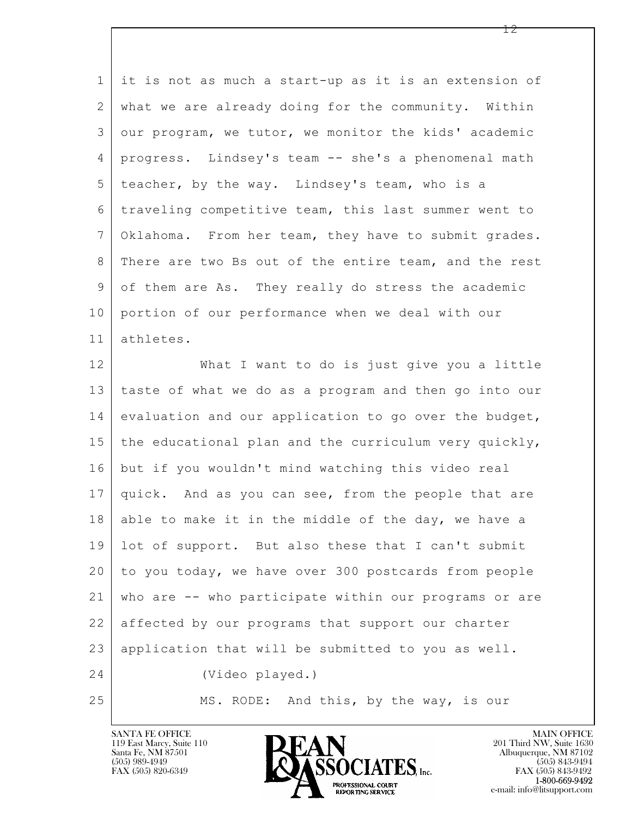1 it is not as much a start-up as it is an extension of 2 what we are already doing for the community. Within 3 our program, we tutor, we monitor the kids' academic 4 progress. Lindsey's team -- she's a phenomenal math 5 teacher, by the way. Lindsey's team, who is a 6 traveling competitive team, this last summer went to 7 Oklahoma. From her team, they have to submit grades. 8 | There are two Bs out of the entire team, and the rest 9 of them are As. They really do stress the academic 10 portion of our performance when we deal with our 11 athletes. 12 What I want to do is just give you a little

 $\mathbf{L}$  13 taste of what we do as a program and then go into our 14 evaluation and our application to go over the budget, 15 the educational plan and the curriculum very quickly, 16 but if you wouldn't mind watching this video real 17 quick. And as you can see, from the people that are  $18$  able to make it in the middle of the day, we have a 19 lot of support. But also these that I can't submit 20 to you today, we have over 300 postcards from people 21 who are -- who participate within our programs or are 22 affected by our programs that support our charter 23 application that will be submitted to you as well. 24 (Video played.) 25 MS. RODE: And this, by the way, is our



FAX (505) 843-9492 e-mail: info@litsupport.com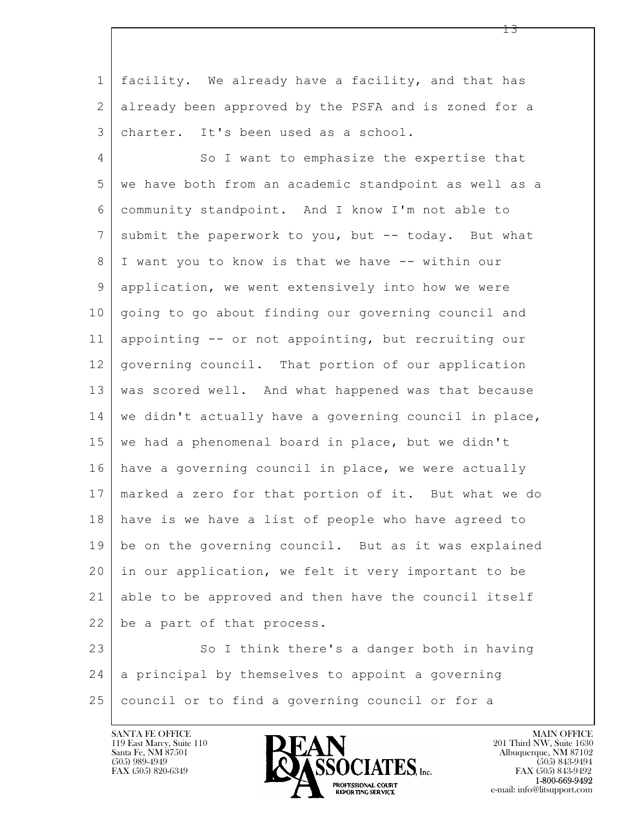$\mathbf{L}$ 1 facility. We already have a facility, and that has 2 already been approved by the PSFA and is zoned for a 3 charter. It's been used as a school. 4 So I want to emphasize the expertise that 5 we have both from an academic standpoint as well as a 6 community standpoint. And I know I'm not able to 7 submit the paperwork to you, but -- today. But what 8 I want you to know is that we have -- within our 9 application, we went extensively into how we were 10 going to go about finding our governing council and 11 appointing -- or not appointing, but recruiting our 12 governing council. That portion of our application 13 was scored well. And what happened was that because 14 we didn't actually have a governing council in place, 15 | we had a phenomenal board in place, but we didn't 16 have a governing council in place, we were actually 17 marked a zero for that portion of it. But what we do 18 have is we have a list of people who have agreed to 19 be on the governing council. But as it was explained 20 in our application, we felt it very important to be 21 able to be approved and then have the council itself 22 be a part of that process. 23 | So I think there's a danger both in having

 24 a principal by themselves to appoint a governing 25 council or to find a governing council or for a



FAX (505) 843-9492 e-mail: info@litsupport.com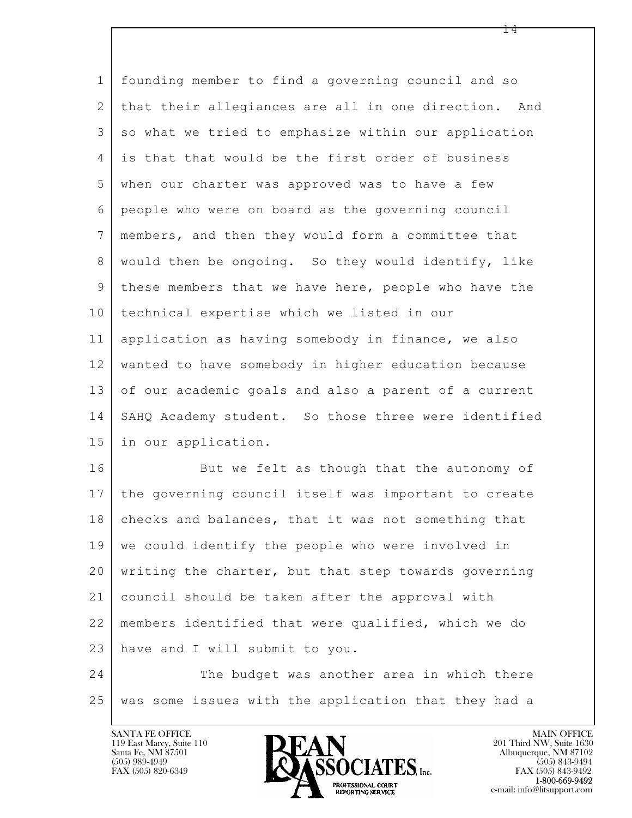| $\mathbf 1$    | founding member to find a governing council and so      |
|----------------|---------------------------------------------------------|
| $\mathbf{2}$   | that their allegiances are all in one direction. And    |
| 3              | so what we tried to emphasize within our application    |
| 4              | is that that would be the first order of business       |
| 5              | when our charter was approved was to have a few         |
| 6              | people who were on board as the governing council       |
| $7\phantom{.}$ | members, and then they would form a committee that      |
| $8\,$          | would then be ongoing. So they would identify, like     |
| 9              | these members that we have here, people who have the    |
| 10             | technical expertise which we listed in our              |
| 11             | application as having somebody in finance, we also      |
| 12             | wanted to have somebody in higher education because     |
| 13             | of our academic goals and also a parent of a current    |
| 14             | SAHQ Academy student. So those three were identified    |
| 15             | in our application.                                     |
| 16             | But we felt as though that the autonomy of              |
| 17             | the governing council itself was important to create    |
| 18             | checks and balances, that it was not something that     |
| 19             | we could identify the people who were involved in       |
| 20             | writing the charter, but that step towards governing    |
| 21             | council should be taken after the approval with         |
| 22             | members identified that were qualified, which we do     |
| 23             | have and I will submit to you.                          |
| 24             | The budget was another area in which there              |
| $2\,5$         | some issues with the application that they had a<br>was |

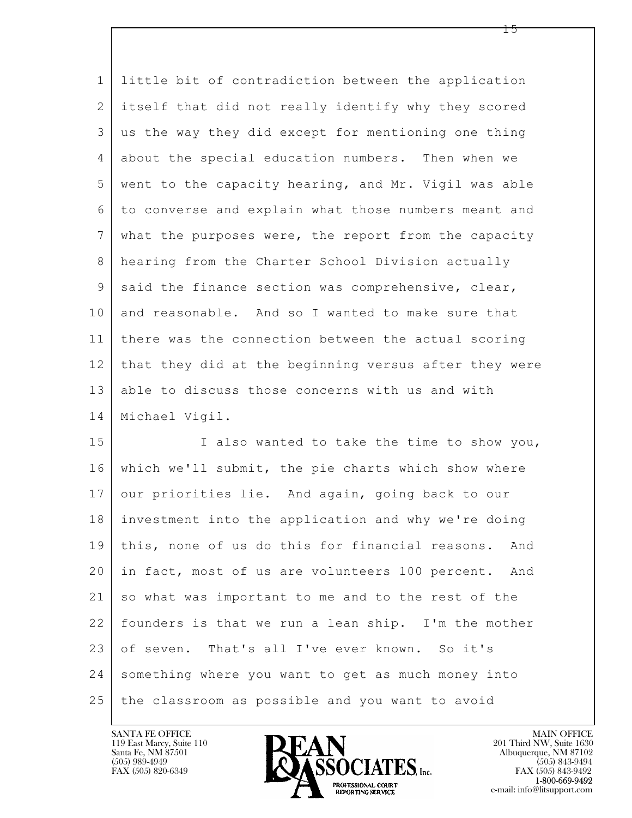1 little bit of contradiction between the application 2 itself that did not really identify why they scored 3 us the way they did except for mentioning one thing 4 about the special education numbers. Then when we 5 went to the capacity hearing, and Mr. Vigil was able 6 to converse and explain what those numbers meant and 7 what the purposes were, the report from the capacity 8 hearing from the Charter School Division actually 9 | said the finance section was comprehensive, clear, 10 and reasonable. And so I wanted to make sure that 11 there was the connection between the actual scoring 12 that they did at the beginning versus after they were 13 able to discuss those concerns with us and with 14 Michael Vigil.

 $\mathbf{L}$  15 I also wanted to take the time to show you, 16 which we'll submit, the pie charts which show where 17 our priorities lie. And again, going back to our 18 investment into the application and why we're doing 19 this, none of us do this for financial reasons. And 20 in fact, most of us are volunteers 100 percent. And 21 so what was important to me and to the rest of the 22 founders is that we run a lean ship. I'm the mother 23 of seven. That's all I've ever known. So it's 24 something where you want to get as much money into 25 the classroom as possible and you want to avoid



FAX (505) 843-9492 e-mail: info@litsupport.com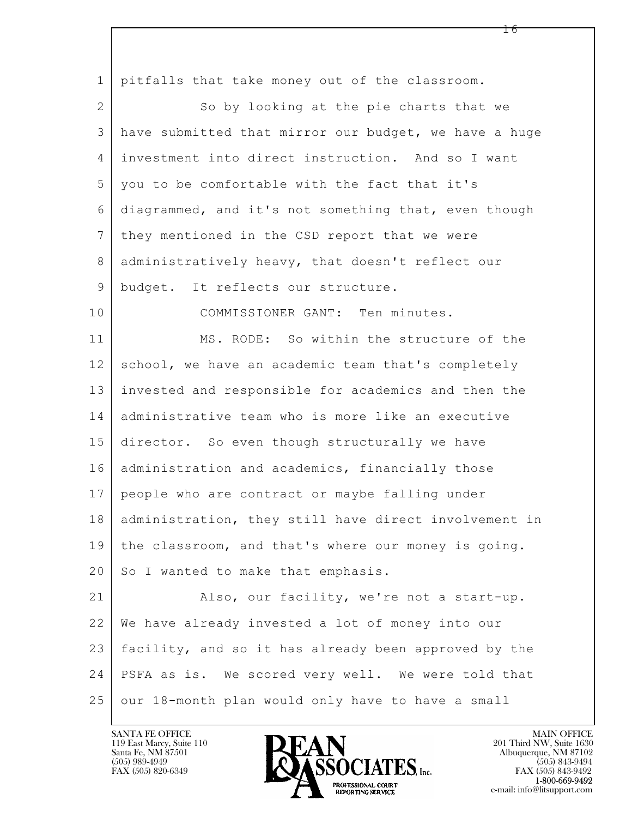$\mathbf{L}$  1 pitfalls that take money out of the classroom. 2 So by looking at the pie charts that we 3 have submitted that mirror our budget, we have a huge 4 investment into direct instruction. And so I want 5 you to be comfortable with the fact that it's 6 diagrammed, and it's not something that, even though 7 | they mentioned in the CSD report that we were 8 administratively heavy, that doesn't reflect our 9 budget. It reflects our structure. 10 COMMISSIONER GANT: Ten minutes. 11 MS. RODE: So within the structure of the 12 school, we have an academic team that's completely 13 invested and responsible for academics and then the 14 administrative team who is more like an executive 15 director. So even though structurally we have 16 | administration and academics, financially those 17 people who are contract or maybe falling under 18 administration, they still have direct involvement in 19 the classroom, and that's where our money is going. 20 So I wanted to make that emphasis. 21 Also, our facility, we're not a start-up. 22 We have already invested a lot of money into our 23 facility, and so it has already been approved by the 24 PSFA as is. We scored very well. We were told that 25 our 18-month plan would only have to have a small

119 East Marcy, Suite 110<br>Santa Fe, NM 87501

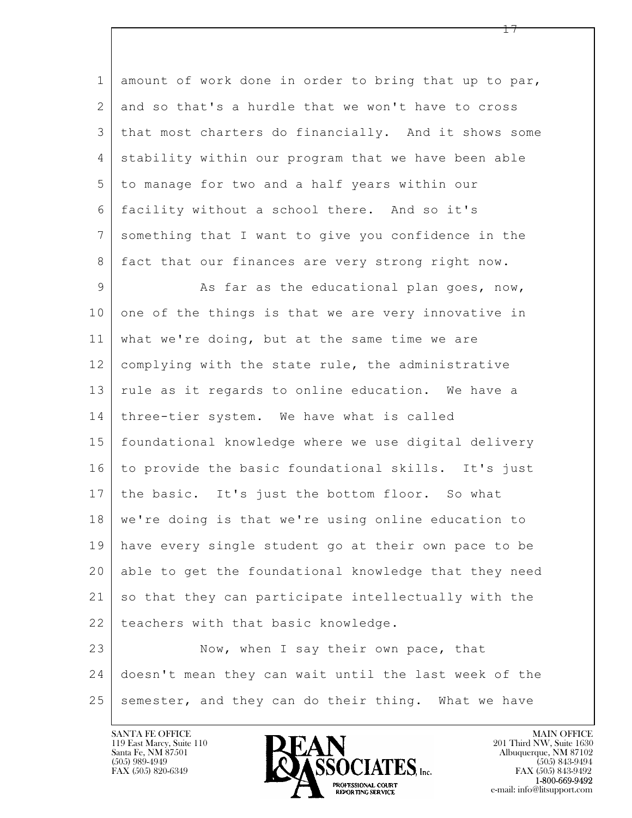1 amount of work done in order to bring that up to par, 2 and so that's a hurdle that we won't have to cross 3 that most charters do financially. And it shows some 4 | stability within our program that we have been able 5 to manage for two and a half years within our 6 facility without a school there. And so it's 7 something that I want to give you confidence in the 8 | fact that our finances are very strong right now.

9 As far as the educational plan goes, now, 10 one of the things is that we are very innovative in 11 what we're doing, but at the same time we are 12 complying with the state rule, the administrative 13 rule as it regards to online education. We have a 14 three-tier system. We have what is called 15 foundational knowledge where we use digital delivery 16 to provide the basic foundational skills. It's just 17 | the basic. It's just the bottom floor. So what 18 | we're doing is that we're using online education to 19 have every single student go at their own pace to be 20 able to get the foundational knowledge that they need 21 so that they can participate intellectually with the 22 | teachers with that basic knowledge.

 $\mathbf{L}$  23 Now, when I say their own pace, that 24 doesn't mean they can wait until the last week of the  $25$  semester, and they can do their thing. What we have

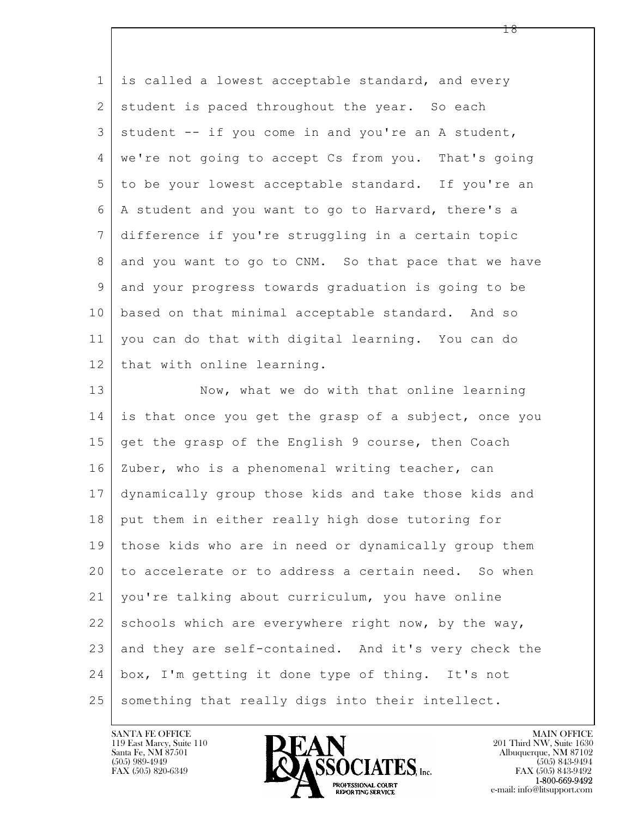| $\mathbf 1$ | is called a lowest acceptable standard, and every     |
|-------------|-------------------------------------------------------|
| 2           | student is paced throughout the year. So each         |
| 3           | student -- if you come in and you're an A student,    |
| 4           | we're not going to accept Cs from you. That's going   |
| 5           | to be your lowest acceptable standard. If you're an   |
| 6           | A student and you want to go to Harvard, there's a    |
| 7           | difference if you're struggling in a certain topic    |
| 8           | and you want to go to CNM. So that pace that we have  |
| 9           | and your progress towards graduation is going to be   |
| 10          | based on that minimal acceptable standard. And so     |
| 11          | you can do that with digital learning. You can do     |
| 12          | that with online learning.                            |
| 13          | Now, what we do with that online learning             |
| 14          | is that once you get the grasp of a subject, once you |
| 15          | get the grasp of the English 9 course, then Coach     |
| 16          | Zuber, who is a phenomenal writing teacher, can       |
| 17          | dynamically group those kids and take those kids and  |
| 18          | put them in either really high dose tutoring for      |
| 19          | those kids who are in need or dynamically group them  |
| 20          | to accelerate or to address a certain need. So when   |
| 21          | you're talking about curriculum, you have online      |
| 22          | schools which are everywhere right now, by the way,   |
| 23          | and they are self-contained. And it's very check the  |
| 24          | box, I'm getting it done type of thing. It's not      |
| 25          | something that really digs into their intellect.      |

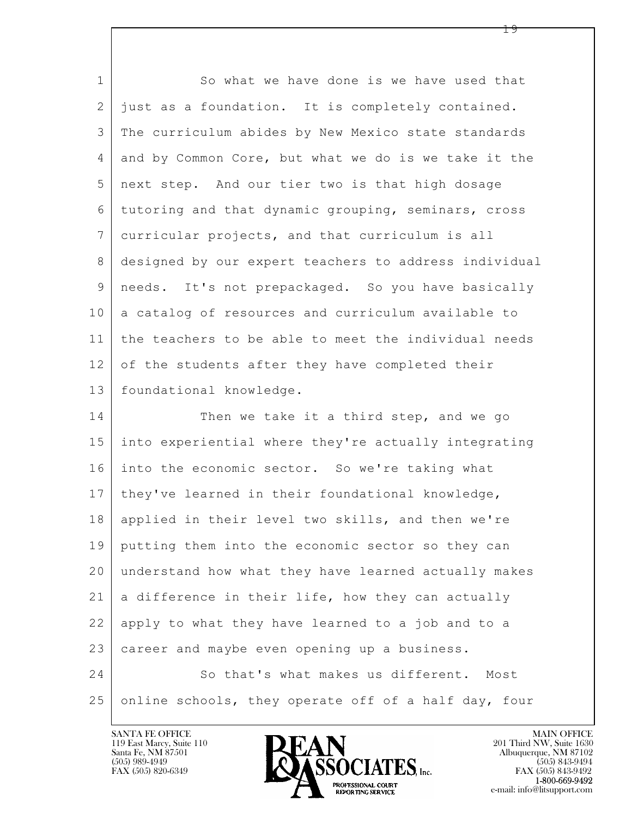| $\mathbf{1}$    | So what we have done is we have used that             |
|-----------------|-------------------------------------------------------|
| 2               | just as a foundation. It is completely contained.     |
| 3               | The curriculum abides by New Mexico state standards   |
| $\overline{4}$  | and by Common Core, but what we do is we take it the  |
| 5               | next step. And our tier two is that high dosage       |
| 6               | tutoring and that dynamic grouping, seminars, cross   |
| $7\phantom{.0}$ | curricular projects, and that curriculum is all       |
| 8               | designed by our expert teachers to address individual |
| 9               | needs. It's not prepackaged. So you have basically    |
| 10              | a catalog of resources and curriculum available to    |
| 11              | the teachers to be able to meet the individual needs  |
| 12              | of the students after they have completed their       |
| 13              | foundational knowledge.                               |
| 14              | Then we take it a third step, and we go               |
| 15              | into experiential where they're actually integrating  |
| 16              | into the economic sector. So we're taking what        |
| 17              | they've learned in their foundational knowledge,      |
| 18              | applied in their level two skills, and then we're     |
| 19              | putting them into the economic sector so they can     |
| 20              | understand how what they have learned actually makes  |
| 21              | a difference in their life, how they can actually     |
| 22              | apply to what they have learned to a job and to a     |
| 23              | career and maybe even opening up a business.          |
| 24              | So that's what makes us different. Most               |
| 25              | online schools, they operate off of a half day, four  |

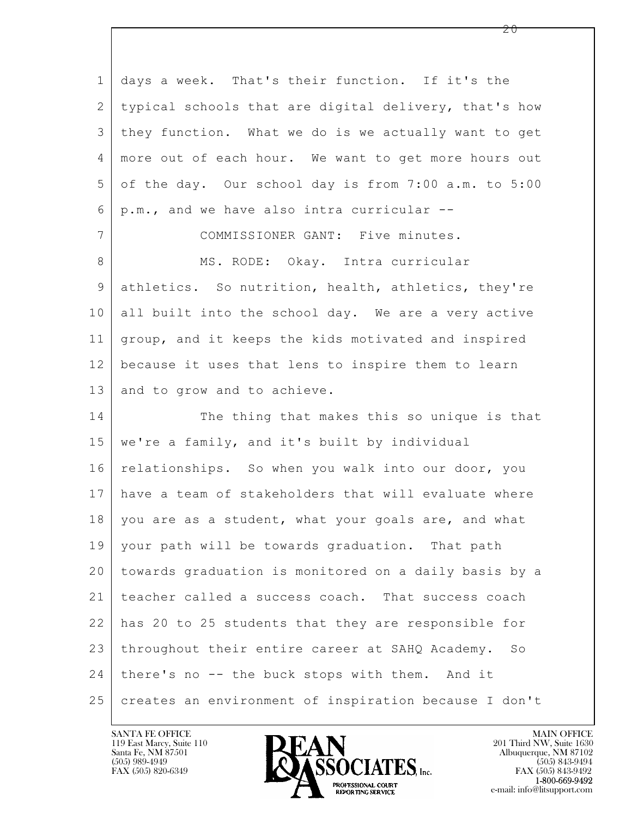$\mathbf{L}$  1 days a week. That's their function. If it's the 2 typical schools that are digital delivery, that's how 3 they function. What we do is we actually want to get 4 more out of each hour. We want to get more hours out 5 of the day. Our school day is from 7:00 a.m. to 5:00  $6 \mid p.m.,$  and we have also intra curricular  $--$ 7 COMMISSIONER GANT: Five minutes. 8 | MS. RODE: Okay. Intra curricular 9 athletics. So nutrition, health, athletics, they're 10 all built into the school day. We are a very active 11 group, and it keeps the kids motivated and inspired 12 because it uses that lens to inspire them to learn 13 and to grow and to achieve. 14 The thing that makes this so unique is that 15 we're a family, and it's built by individual 16 relationships. So when you walk into our door, you 17 have a team of stakeholders that will evaluate where 18 | you are as a student, what your goals are, and what 19 your path will be towards graduation. That path 20 towards graduation is monitored on a daily basis by a 21 teacher called a success coach. That success coach 22 has 20 to 25 students that they are responsible for 23 throughout their entire career at SAHQ Academy. So 24 there's no -- the buck stops with them. And it 25 | creates an environment of inspiration because I don't

119 East Marcy, Suite 110<br>Santa Fe, NM 87501



FAX (505) 843-9492 e-mail: info@litsupport.com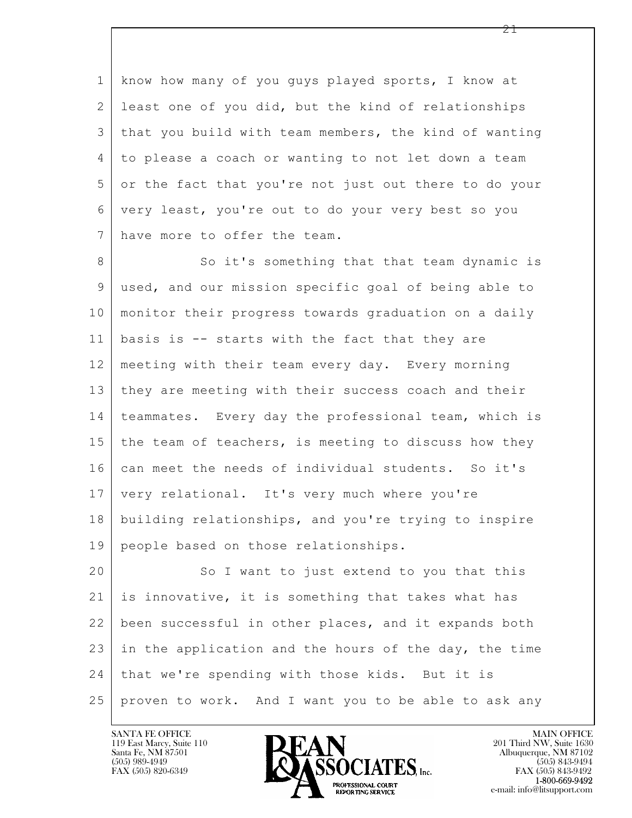1 know how many of you guys played sports, I know at 2 least one of you did, but the kind of relationships 3 that you build with team members, the kind of wanting 4 to please a coach or wanting to not let down a team 5 or the fact that you're not just out there to do your 6 very least, you're out to do your very best so you 7 have more to offer the team.

8 So it's something that that team dynamic is 9 used, and our mission specific goal of being able to 10 monitor their progress towards graduation on a daily  $11$  basis is  $-$  starts with the fact that they are 12 meeting with their team every day. Every morning 13 they are meeting with their success coach and their 14 teammates. Every day the professional team, which is 15 the team of teachers, is meeting to discuss how they 16 can meet the needs of individual students. So it's 17 very relational. It's very much where you're 18 building relationships, and you're trying to inspire 19 people based on those relationships.

 $\mathbf{L}$  20 So I want to just extend to you that this 21 is innovative, it is something that takes what has 22 been successful in other places, and it expands both 23 in the application and the hours of the day, the time 24 | that we're spending with those kids. But it is 25 proven to work. And I want you to be able to ask any



FAX (505) 843-9492 e-mail: info@litsupport.com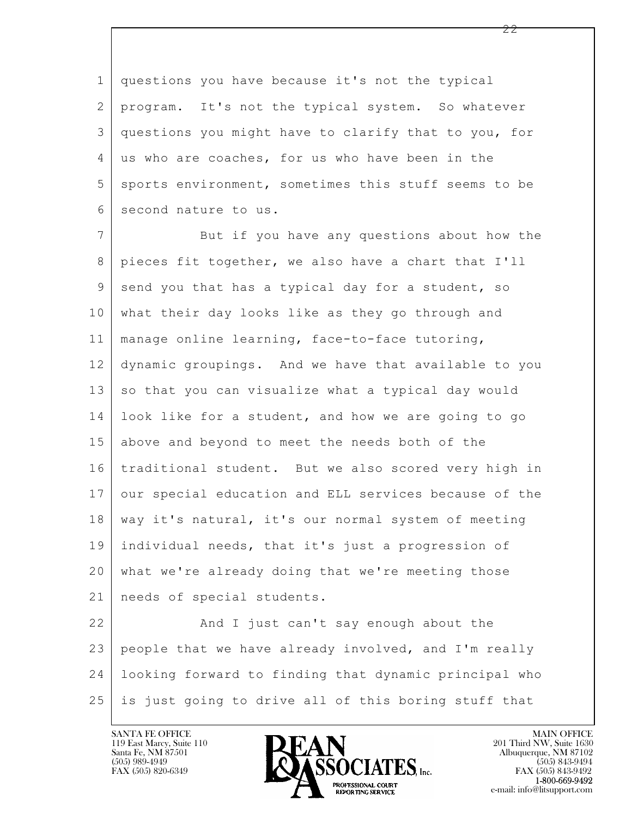1 questions you have because it's not the typical 2 program. It's not the typical system. So whatever 3 questions you might have to clarify that to you, for 4 us who are coaches, for us who have been in the 5 sports environment, sometimes this stuff seems to be 6 second nature to us.

7 But if you have any questions about how the 8 pieces fit together, we also have a chart that I'll 9 send you that has a typical day for a student, so 10 what their day looks like as they go through and 11 manage online learning, face-to-face tutoring, 12 dynamic groupings. And we have that available to you 13 so that you can visualize what a typical day would 14 look like for a student, and how we are going to go 15 above and beyond to meet the needs both of the 16 traditional student. But we also scored very high in 17 our special education and ELL services because of the 18 | way it's natural, it's our normal system of meeting 19 individual needs, that it's just a progression of 20 what we're already doing that we're meeting those 21 | needs of special students.

 $\mathbf{L}$  22 And I just can't say enough about the 23 people that we have already involved, and I'm really 24 looking forward to finding that dynamic principal who 25 is just going to drive all of this boring stuff that

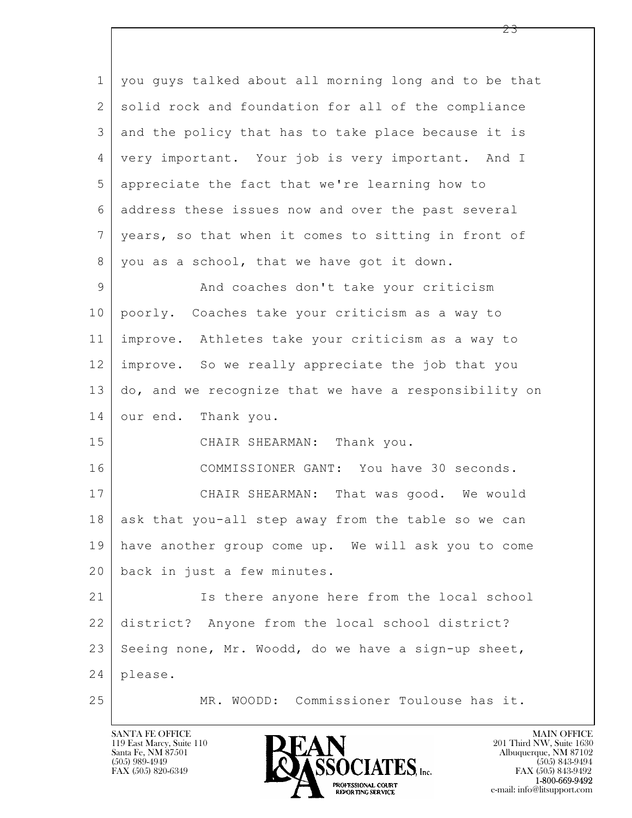$\mathbf{L}$  1 you guys talked about all morning long and to be that 2 | solid rock and foundation for all of the compliance 3 and the policy that has to take place because it is 4 very important. Your job is very important. And I 5 appreciate the fact that we're learning how to 6 address these issues now and over the past several 7 years, so that when it comes to sitting in front of 8 you as a school, that we have got it down. 9 And coaches don't take your criticism 10 poorly. Coaches take your criticism as a way to 11 improve. Athletes take your criticism as a way to 12 improve. So we really appreciate the job that you 13 do, and we recognize that we have a responsibility on 14 our end. Thank you. 15 CHAIR SHEARMAN: Thank you. 16 | COMMISSIONER GANT: You have 30 seconds. 17 | CHAIR SHEARMAN: That was good. We would 18 ask that you-all step away from the table so we can 19 have another group come up. We will ask you to come 20 back in just a few minutes. 21 Is there anyone here from the local school 22 district? Anyone from the local school district?  $23$  Seeing none, Mr. Woodd, do we have a sign-up sheet, 24 please. 25 MR. WOODD: Commissioner Toulouse has it.

119 East Marcy, Suite 110<br>Santa Fe, NM 87501

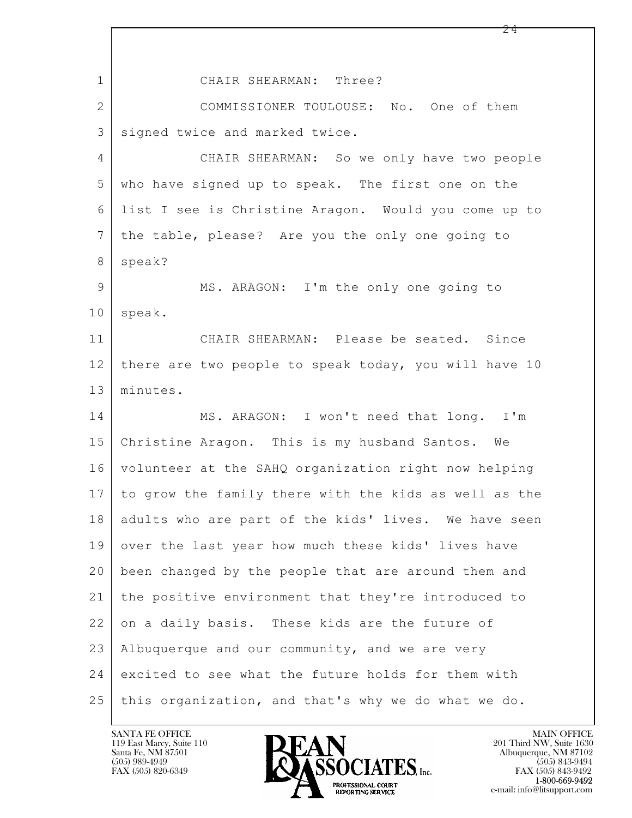| $\mathbf 1$     | CHAIR SHEARMAN: Three?                                |
|-----------------|-------------------------------------------------------|
| $\overline{2}$  | COMMISSIONER TOULOUSE: No. One of them                |
| 3               | signed twice and marked twice.                        |
| 4               | CHAIR SHEARMAN: So we only have two people            |
| 5               | who have signed up to speak. The first one on the     |
| 6               | list I see is Christine Aragon. Would you come up to  |
| $7\overline{ }$ | the table, please? Are you the only one going to      |
| 8               | speak?                                                |
| 9               | MS. ARAGON: I'm the only one going to                 |
| 10              | speak.                                                |
| 11              | CHAIR SHEARMAN: Please be seated. Since               |
| 12              | there are two people to speak today, you will have 10 |
| 13              | minutes.                                              |
| 14              | MS. ARAGON: I won't need that long. I'm               |
| 15              | Christine Aragon. This is my husband Santos. We       |
| 16              | volunteer at the SAHQ organization right now helping  |
| 17              | to grow the family there with the kids as well as the |
| 18              | adults who are part of the kids' lives. We have seen  |
| 19              | over the last year how much these kids' lives have    |
| 20              | been changed by the people that are around them and   |
| 21              | the positive environment that they're introduced to   |
| 22              | on a daily basis. These kids are the future of        |
| 23              | Albuquerque and our community, and we are very        |
| 24              | excited to see what the future holds for them with    |
| 25              | this organization, and that's why we do what we do.   |

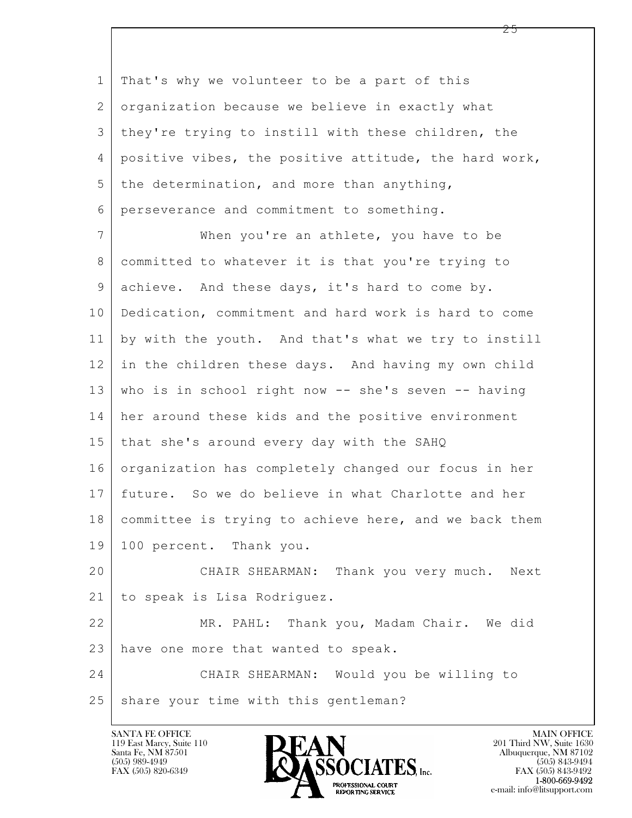1 That's why we volunteer to be a part of this 2 organization because we believe in exactly what 3 they're trying to instill with these children, the 4 positive vibes, the positive attitude, the hard work,  $5$  the determination, and more than anything, 6 perseverance and commitment to something.

7 When you're an athlete, you have to be 8 committed to whatever it is that you're trying to 9 achieve. And these days, it's hard to come by. 10 Dedication, commitment and hard work is hard to come 11 by with the youth. And that's what we try to instill 12 in the children these days. And having my own child 13 who is in school right now -- she's seven -- having 14 her around these kids and the positive environment 15 that she's around every day with the SAHQ 16 organization has completely changed our focus in her 17 future. So we do believe in what Charlotte and her 18 committee is trying to achieve here, and we back them 19 100 percent. Thank you. 20 CHAIR SHEARMAN: Thank you very much. Next

21 to speak is Lisa Rodriguez.

22 MR. PAHL: Thank you, Madam Chair. We did 23 have one more that wanted to speak.

 $\mathbf{L}$  24 CHAIR SHEARMAN: Would you be willing to 25 share your time with this gentleman?

119 East Marcy, Suite 110<br>Santa Fe, NM 87501

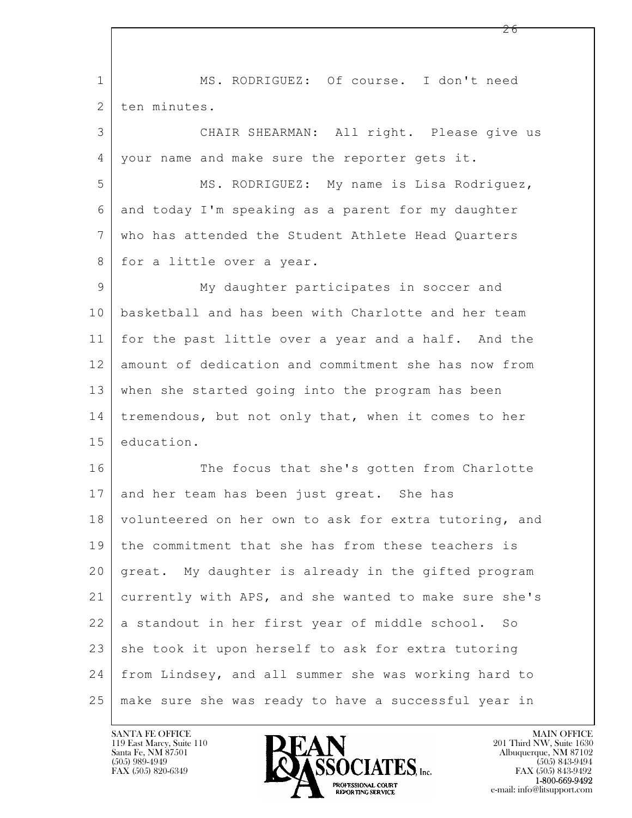| $\mathbf{1}$ | MS. RODRIGUEZ: Of course. I don't need                |
|--------------|-------------------------------------------------------|
| 2            | ten minutes.                                          |
| 3            | CHAIR SHEARMAN: All right. Please give us             |
| 4            | your name and make sure the reporter gets it.         |
| 5            | MS. RODRIGUEZ: My name is Lisa Rodriguez,             |
| 6            | and today I'm speaking as a parent for my daughter    |
| 7            | who has attended the Student Athlete Head Quarters    |
| 8            | for a little over a year.                             |
| 9            | My daughter participates in soccer and                |
| 10           | basketball and has been with Charlotte and her team   |
| 11           | for the past little over a year and a half. And the   |
| 12           | amount of dedication and commitment she has now from  |
| 13           | when she started going into the program has been      |
| 14           | tremendous, but not only that, when it comes to her   |
| 15           | education.                                            |
| 16           | The focus that she's gotten from Charlotte            |
| 17           | and her team has been just great. She has             |
| 18           | volunteered on her own to ask for extra tutoring, and |
| 19           | the commitment that she has from these teachers is    |
| 20           | great. My daughter is already in the gifted program   |
| 21           | currently with APS, and she wanted to make sure she's |
| 22           | a standout in her first year of middle school. So     |
| 23           | she took it upon herself to ask for extra tutoring    |
| 24           | from Lindsey, and all summer she was working hard to  |
| 25           | make sure she was ready to have a successful year in  |

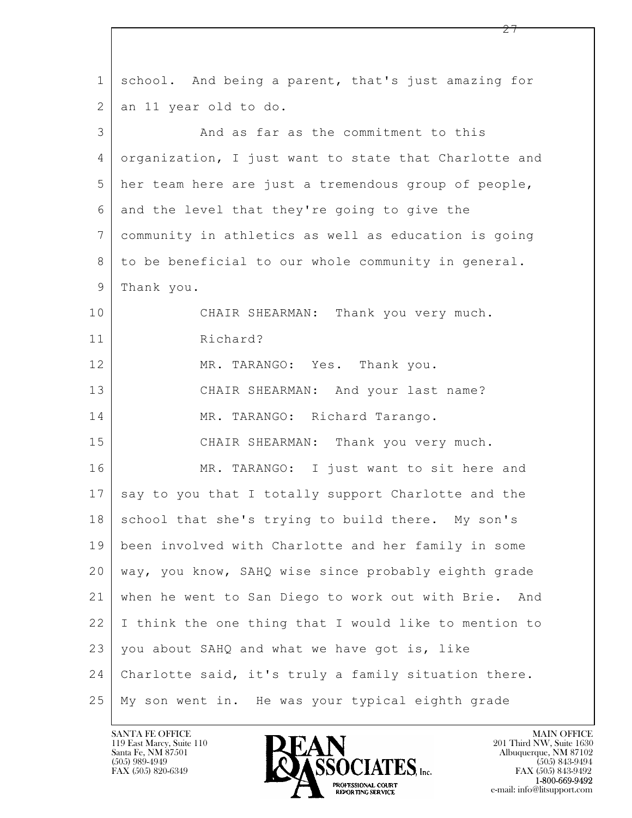| $\mathbf 1$     | school. And being a parent, that's just amazing for     |
|-----------------|---------------------------------------------------------|
| 2               | an 11 year old to do.                                   |
| 3               | And as far as the commitment to this                    |
| 4               | organization, I just want to state that Charlotte and   |
| 5               | her team here are just a tremendous group of people,    |
| 6               | and the level that they're going to give the            |
| $7\phantom{.0}$ | community in athletics as well as education is going    |
| 8               | to be beneficial to our whole community in general.     |
| 9               | Thank you.                                              |
| 10              | CHAIR SHEARMAN: Thank you very much.                    |
| 11              | Richard?                                                |
| 12              | MR. TARANGO: Yes. Thank you.                            |
| 13              | CHAIR SHEARMAN: And your last name?                     |
| 14              | MR. TARANGO: Richard Tarango.                           |
| 15              | CHAIR SHEARMAN: Thank you very much.                    |
| 16              | MR. TARANGO: I just want to sit here and                |
| 17              | say to you that I totally support Charlotte and the     |
| 18              | school that she's trying to build there. My son's       |
| 19              | been involved with Charlotte and her family in some     |
| 20              | way, you know, SAHQ wise since probably eighth grade    |
| 21              | when he went to San Diego to work out with Brie.<br>And |
| 22              | I think the one thing that I would like to mention to   |
| 23              | you about SAHQ and what we have got is, like            |
| 24              | Charlotte said, it's truly a family situation there.    |
| 25              | My son went in. He was your typical eighth grade        |

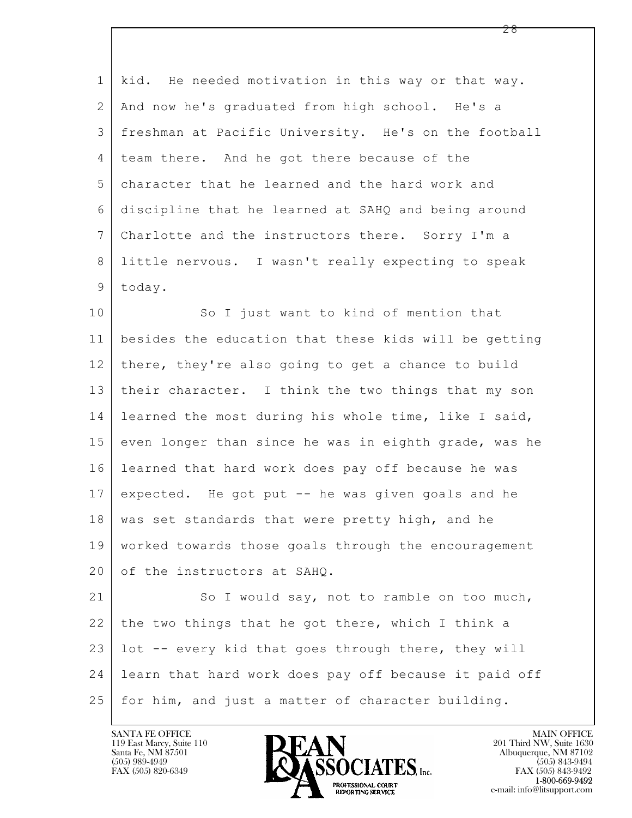1 kid. He needed motivation in this way or that way. 2 And now he's graduated from high school. He's a 3 freshman at Pacific University. He's on the football 4 team there. And he got there because of the 5 character that he learned and the hard work and 6 discipline that he learned at SAHQ and being around 7 Charlotte and the instructors there. Sorry I'm a 8 little nervous. I wasn't really expecting to speak 9 today.

10 So I just want to kind of mention that 11 besides the education that these kids will be getting 12 there, they're also going to get a chance to build 13 their character. I think the two things that my son 14 learned the most during his whole time, like I said, 15 even longer than since he was in eighth grade, was he 16 learned that hard work does pay off because he was 17 expected. He got put -- he was given goals and he 18 | was set standards that were pretty high, and he 19 worked towards those goals through the encouragement 20 of the instructors at SAHQ.

 $\mathbf{L}$  21 So I would say, not to ramble on too much,  $22$  the two things that he got there, which I think a 23 lot -- every kid that goes through there, they will 24 learn that hard work does pay off because it paid off 25 for him, and just a matter of character building.

119 East Marcy, Suite 110<br>Santa Fe, NM 87501

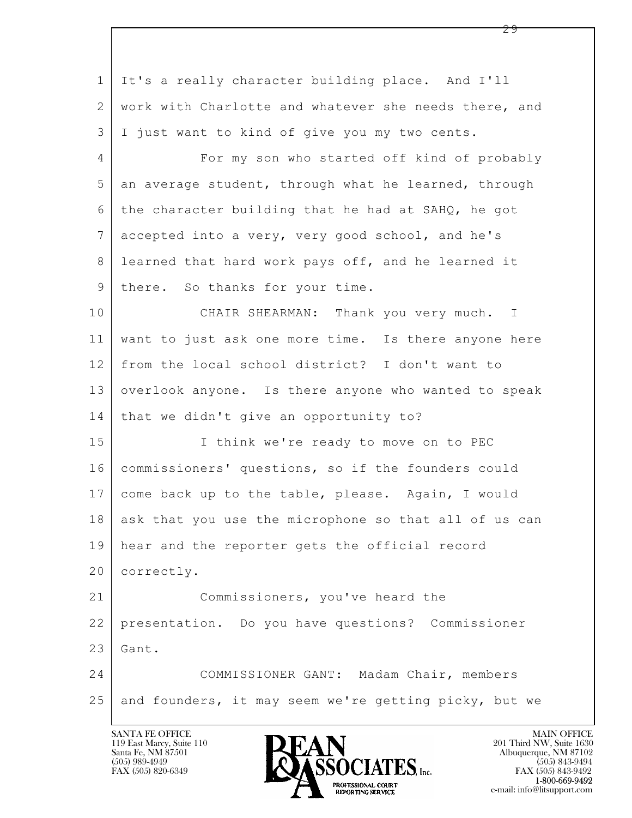$\mathbf{L}$  1 It's a really character building place. And I'll 2 | work with Charlotte and whatever she needs there, and 3 I just want to kind of give you my two cents. 4 For my son who started off kind of probably  $5$  an average student, through what he learned, through 6 the character building that he had at SAHQ, he got 7 accepted into a very, very good school, and he's 8 learned that hard work pays off, and he learned it 9 | there. So thanks for your time. 10 CHAIR SHEARMAN: Thank you very much. I 11 want to just ask one more time. Is there anyone here 12 from the local school district? I don't want to 13 overlook anyone. Is there anyone who wanted to speak 14 | that we didn't give an opportunity to? 15 | Think we're ready to move on to PEC 16 commissioners' questions, so if the founders could 17 come back up to the table, please. Again, I would 18 ask that you use the microphone so that all of us can 19 hear and the reporter gets the official record 20 correctly. 21 Commissioners, you've heard the 22 presentation. Do you have questions? Commissioner  $23$  Gant. 24 COMMISSIONER GANT: Madam Chair, members 25 and founders, it may seem we're getting picky, but we

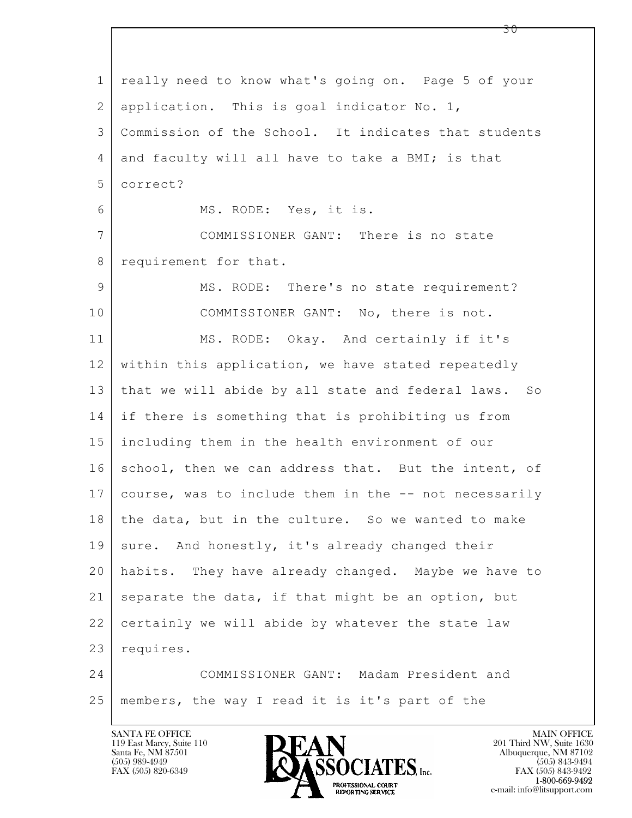$\mathbf{L}$  1 really need to know what's going on. Page 5 of your 2 | application. This is goal indicator No. 1, 3 Commission of the School. It indicates that students 4 and faculty will all have to take a BMI; is that 5 correct? 6 MS. RODE: Yes, it is. 7 COMMISSIONER GANT: There is no state 8 requirement for that. 9 MS. RODE: There's no state requirement? 10 COMMISSIONER GANT: No, there is not. 11 MS. RODE: Okay. And certainly if it's 12 within this application, we have stated repeatedly 13 that we will abide by all state and federal laws. So 14 if there is something that is prohibiting us from 15 including them in the health environment of our 16 school, then we can address that. But the intent, of 17 course, was to include them in the -- not necessarily 18 the data, but in the culture. So we wanted to make 19 sure. And honestly, it's already changed their 20 habits. They have already changed. Maybe we have to 21 separate the data, if that might be an option, but 22 certainly we will abide by whatever the state law 23 requires. 24 COMMISSIONER GANT: Madam President and 25 members, the way I read it is it's part of the

119 East Marcy, Suite 110<br>Santa Fe, NM 87501

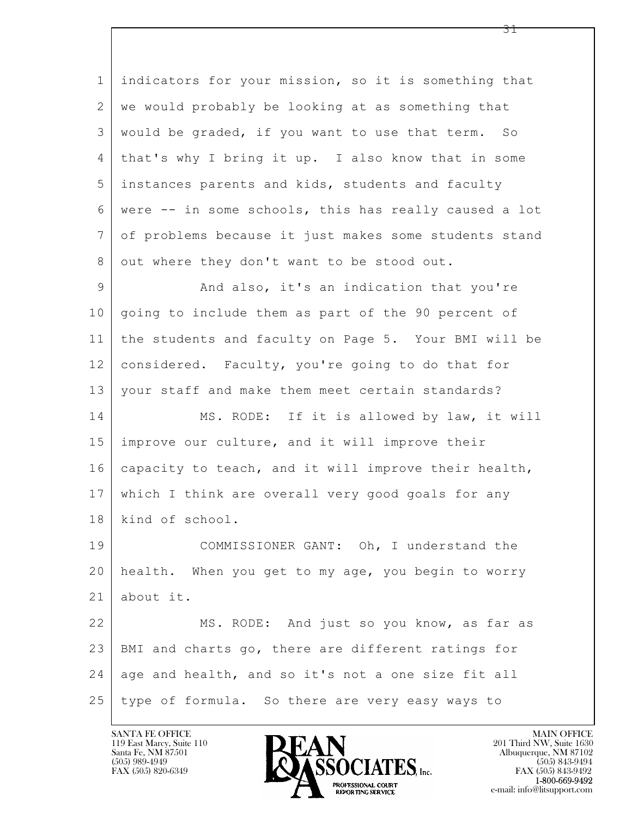$\mathbf{L}$  1 indicators for your mission, so it is something that 2 | we would probably be looking at as something that 3 would be graded, if you want to use that term. So 4 that's why I bring it up. I also know that in some 5 instances parents and kids, students and faculty 6 were -- in some schools, this has really caused a lot 7 of problems because it just makes some students stand 8 out where they don't want to be stood out. 9 And also, it's an indication that you're 10 | going to include them as part of the 90 percent of 11 the students and faculty on Page 5. Your BMI will be 12 considered. Faculty, you're going to do that for 13 | your staff and make them meet certain standards? 14 MS. RODE: If it is allowed by law, it will 15 improve our culture, and it will improve their 16 capacity to teach, and it will improve their health, 17 which I think are overall very good goals for any 18 kind of school. 19 COMMISSIONER GANT: Oh, I understand the 20 health. When you get to my age, you begin to worry 21 about it. 22 MS. RODE: And just so you know, as far as 23 BMI and charts go, there are different ratings for 24 age and health, and so it's not a one size fit all 25 type of formula. So there are very easy ways to



FAX (505) 843-9492 e-mail: info@litsupport.com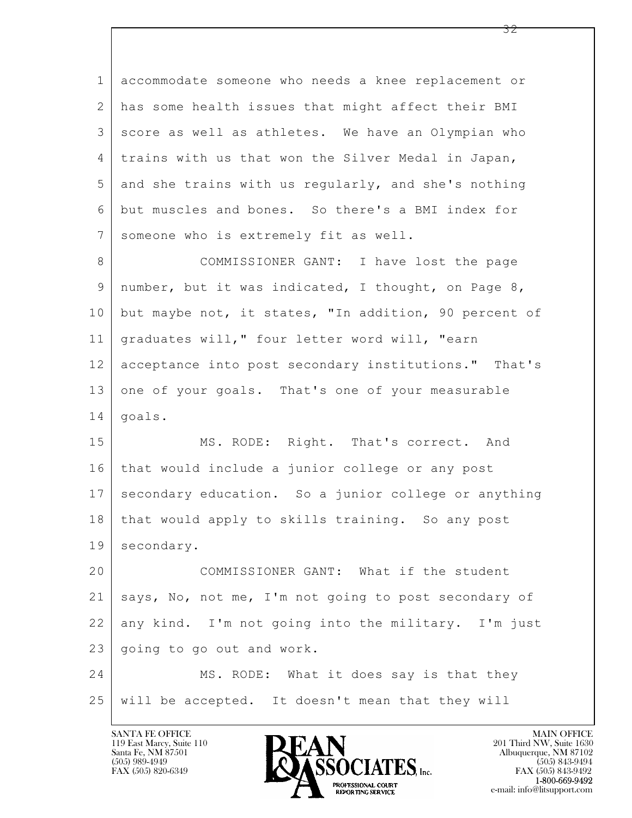$\mathbf{L}$  1 accommodate someone who needs a knee replacement or 2 has some health issues that might affect their BMI 3 score as well as athletes. We have an Olympian who 4 trains with us that won the Silver Medal in Japan,  $5$  and she trains with us regularly, and she's nothing 6 but muscles and bones. So there's a BMI index for 7 someone who is extremely fit as well. 8 | COMMISSIONER GANT: I have lost the page 9 number, but it was indicated, I thought, on Page 8, 10 but maybe not, it states, "In addition, 90 percent of 11 graduates will," four letter word will, "earn 12 acceptance into post secondary institutions." That's 13 one of your goals. That's one of your measurable 14 goals. 15 MS. RODE: Right. That's correct. And 16 that would include a junior college or any post 17 secondary education. So a junior college or anything 18 | that would apply to skills training. So any post 19 secondary. 20 COMMISSIONER GANT: What if the student 21 says, No, not me, I'm not going to post secondary of 22 any kind. I'm not going into the military. I'm just 23 | going to go out and work. 24 MS. RODE: What it does say is that they 25 will be accepted. It doesn't mean that they will

119 East Marcy, Suite 110<br>Santa Fe, NM 87501



FAX (505) 843-9492 e-mail: info@litsupport.com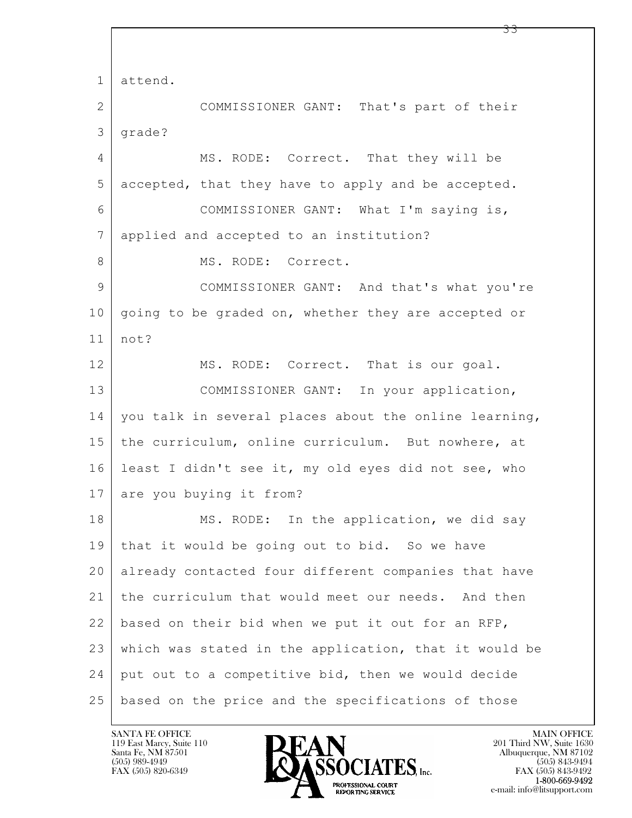$\mathbf{L}$  1 attend. 2 COMMISSIONER GANT: That's part of their 3 grade? 4 MS. RODE: Correct. That they will be 5 accepted, that they have to apply and be accepted. 6 COMMISSIONER GANT: What I'm saying is, 7 applied and accepted to an institution? 8 MS. RODE: Correct. 9 | COMMISSIONER GANT: And that's what you're 10 | going to be graded on, whether they are accepted or 11 not? 12 MS. RODE: Correct. That is our goal. 13 COMMISSIONER GANT: In your application, 14 | you talk in several places about the online learning, 15 | the curriculum, online curriculum. But nowhere, at 16 least I didn't see it, my old eyes did not see, who 17 are you buying it from? 18 MS. RODE: In the application, we did say 19 that it would be going out to bid. So we have 20 already contacted four different companies that have 21 the curriculum that would meet our needs. And then 22 based on their bid when we put it out for an RFP, 23 which was stated in the application, that it would be 24 put out to a competitive bid, then we would decide 25 based on the price and the specifications of those

119 East Marcy, Suite 110<br>Santa Fe, NM 87501

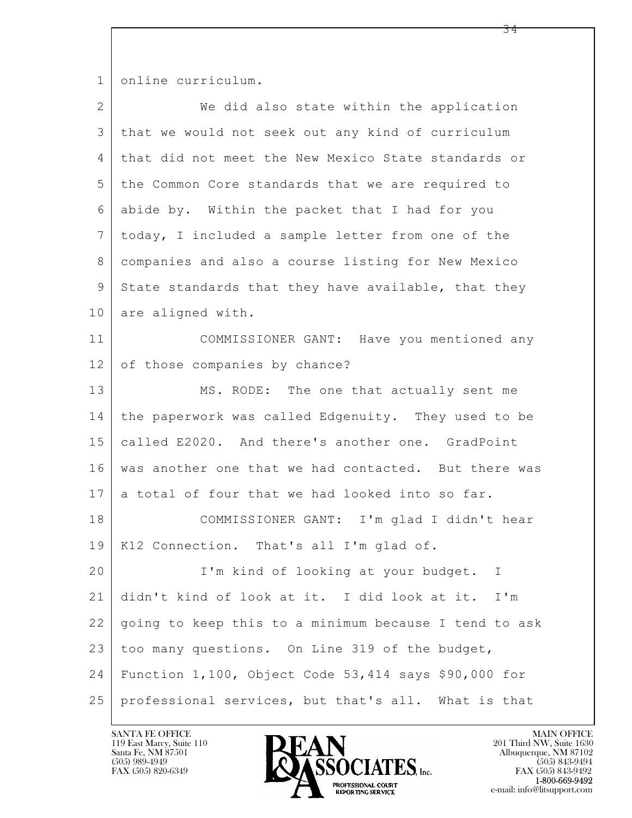1 online curriculum.

| $\overline{2}$ | We did also state within the application                |
|----------------|---------------------------------------------------------|
| 3              | that we would not seek out any kind of curriculum       |
| $\overline{4}$ | that did not meet the New Mexico State standards or     |
| 5              | the Common Core standards that we are required to       |
| 6              | abide by. Within the packet that I had for you          |
| $7\phantom{.}$ | today, I included a sample letter from one of the       |
| $8\,$          | companies and also a course listing for New Mexico      |
| $\mathsf 9$    | State standards that they have available, that they     |
| 10             | are aligned with.                                       |
| 11             | COMMISSIONER GANT: Have you mentioned any               |
| 12             | of those companies by chance?                           |
| 13             | MS. RODE: The one that actually sent me                 |
| 14             | the paperwork was called Edgenuity. They used to be     |
| 15             | called E2020. And there's another one. GradPoint        |
| 16             | was another one that we had contacted. But there was    |
| 17             | a total of four that we had looked into so far.         |
| 18             | COMMISSIONER GANT: I'm glad I didn't hear               |
| 19             | K12 Connection. That's all I'm glad of.                 |
| 20             | I'm kind of looking at your budget.<br>I.               |
| 21             | didn't kind of look at it. I did look at it.<br>$I'$ m  |
| 22             | going to keep this to a minimum because I tend to ask   |
| 23             | too many questions. On Line 319 of the budget,          |
| 24             | Function $1,100$ , Object Code 53,414 says \$90,000 for |
| 25             | professional services, but that's all. What is that     |

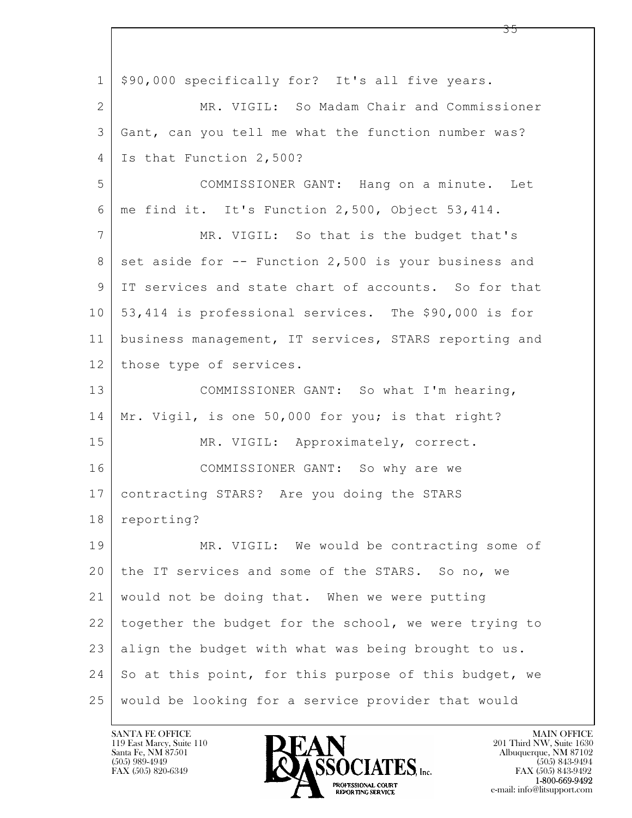$\mathbf{L}$  1 \$90,000 specifically for? It's all five years. 2 MR. VIGIL: So Madam Chair and Commissioner 3 Gant, can you tell me what the function number was? 4 | Is that Function 2,500? 5 COMMISSIONER GANT: Hang on a minute. Let 6 me find it. It's Function 2,500, Object 53,414. 7 MR. VIGIL: So that is the budget that's 8 set aside for  $-$ - Function 2,500 is your business and 9 IT services and state chart of accounts. So for that 10 53,414 is professional services. The \$90,000 is for 11 business management, IT services, STARS reporting and 12 those type of services. 13 | COMMISSIONER GANT: So what I'm hearing, 14 Mr. Vigil, is one 50,000 for you; is that right? 15 | MR. VIGIL: Approximately, correct. 16 COMMISSIONER GANT: So why are we 17 contracting STARS? Are you doing the STARS 18 reporting? 19 MR. VIGIL: We would be contracting some of 20 the IT services and some of the STARS. So no, we 21 would not be doing that. When we were putting 22 together the budget for the school, we were trying to 23 align the budget with what was being brought to us. 24 So at this point, for this purpose of this budget, we 25 would be looking for a service provider that would

119 East Marcy, Suite 110<br>Santa Fe, NM 87501

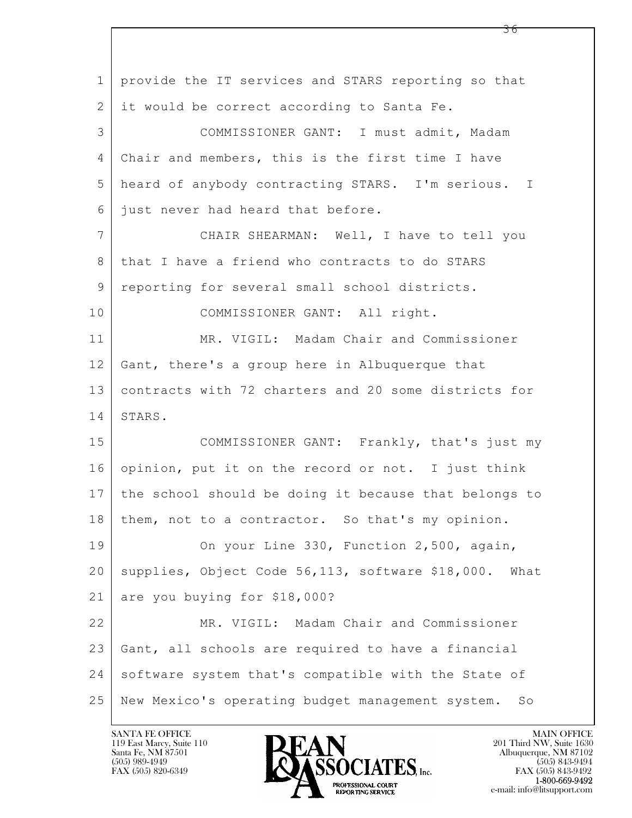| $\mathbf{1}$   | provide the IT services and STARS reporting so that    |
|----------------|--------------------------------------------------------|
| $\overline{2}$ | it would be correct according to Santa Fe.             |
| 3              | COMMISSIONER GANT: I must admit, Madam                 |
| 4              | Chair and members, this is the first time I have       |
| 5              | heard of anybody contracting STARS. I'm serious. I     |
| 6              | just never had heard that before.                      |
| $\overline{7}$ | CHAIR SHEARMAN: Well, I have to tell you               |
| 8              | that I have a friend who contracts to do STARS         |
| 9              | reporting for several small school districts.          |
| 10             | COMMISSIONER GANT: All right.                          |
| 11             | MR. VIGIL: Madam Chair and Commissioner                |
| 12             | Gant, there's a group here in Albuquerque that         |
| 13             | contracts with 72 charters and 20 some districts for   |
| 14             | STARS.                                                 |
| 15             | COMMISSIONER GANT: Frankly, that's just my             |
| 16             | opinion, put it on the record or not. I just think     |
| 17             | the school should be doing it because that belongs to  |
| 18             | them, not to a contractor. So that's my opinion.       |
| 19             | On your Line 330, Function 2,500, again,               |
| 20             | supplies, Object Code 56,113, software \$18,000. What  |
| 21             | are you buying for \$18,000?                           |
| 22             | MR. VIGIL: Madam Chair and Commissioner                |
| 23             | Gant, all schools are required to have a financial     |
| 24             | software system that's compatible with the State of    |
| 25             | New Mexico's operating budget management system.<br>So |

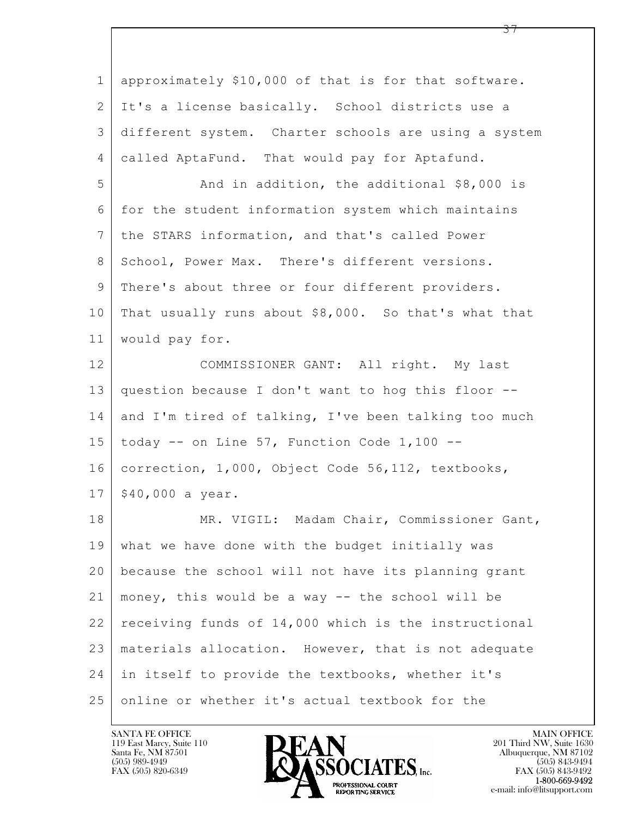$\mathbf{L}$  1 approximately \$10,000 of that is for that software. 2 It's a license basically. School districts use a 3 different system. Charter schools are using a system 4 called AptaFund. That would pay for Aptafund. 5 And in addition, the additional \$8,000 is 6 for the student information system which maintains 7 the STARS information, and that's called Power 8 School, Power Max. There's different versions. 9 There's about three or four different providers. 10 That usually runs about \$8,000. So that's what that 11 would pay for. 12 COMMISSIONER GANT: All right. My last 13 question because I don't want to hog this floor -- 14 and I'm tired of talking, I've been talking too much 15 | today  $--$  on Line 57, Function Code 1,100  $--$ 16 correction, 1,000, Object Code 56,112, textbooks,  $17 | $40,000$  a year. 18 | MR. VIGIL: Madam Chair, Commissioner Gant, 19 what we have done with the budget initially was 20 because the school will not have its planning grant 21 money, this would be a way -- the school will be 22 receiving funds of 14,000 which is the instructional 23 materials allocation. However, that is not adequate 24 in itself to provide the textbooks, whether it's 25 online or whether it's actual textbook for the



FAX (505) 843-9492 e-mail: info@litsupport.com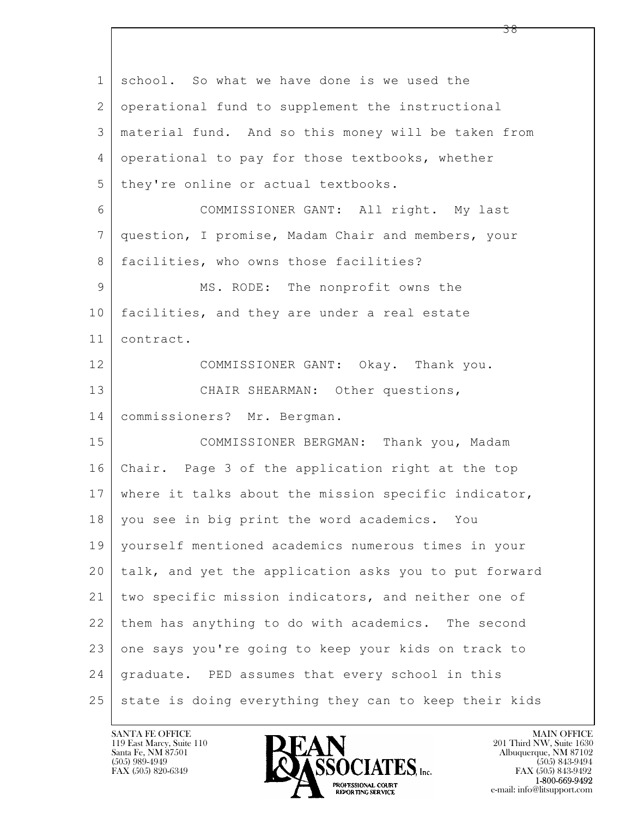| $\mathbf 1$ | school. So what we have done is we used the           |
|-------------|-------------------------------------------------------|
| 2           | operational fund to supplement the instructional      |
| 3           | material fund. And so this money will be taken from   |
| 4           | operational to pay for those textbooks, whether       |
| 5           | they're online or actual textbooks.                   |
| 6           | COMMISSIONER GANT: All right. My last                 |
| 7           | question, I promise, Madam Chair and members, your    |
| 8           | facilities, who owns those facilities?                |
| 9           | MS. RODE: The nonprofit owns the                      |
| 10          | facilities, and they are under a real estate          |
| 11          | contract.                                             |
| 12          | COMMISSIONER GANT: Okay. Thank you.                   |
| 13          | CHAIR SHEARMAN: Other questions,                      |
| 14          | commissioners? Mr. Bergman.                           |
| 15          | COMMISSIONER BERGMAN: Thank you, Madam                |
| 16          | Chair. Page 3 of the application right at the top     |
| 17          | where it talks about the mission specific indicator,  |
| 18          | you see in big print the word academics. You          |
| 19          | yourself mentioned academics numerous times in your   |
| 20          | talk, and yet the application asks you to put forward |
| 21          | two specific mission indicators, and neither one of   |
| 22          | them has anything to do with academics. The second    |
| 23          | one says you're going to keep your kids on track to   |
| 24          | graduate. PED assumes that every school in this       |
| 25          | state is doing everything they can to keep their kids |

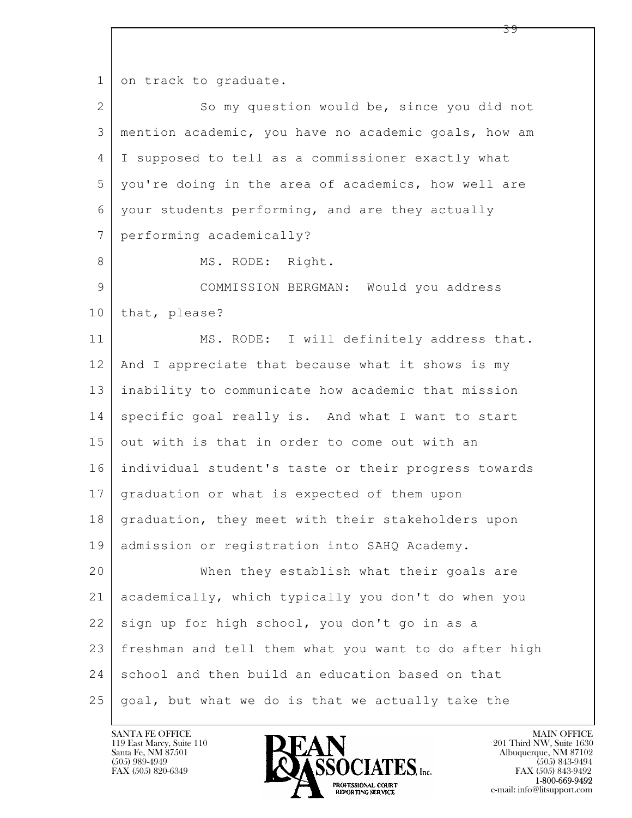1 on track to graduate.

| $\overline{2}$ | So my question would be, since you did not            |
|----------------|-------------------------------------------------------|
| 3              | mention academic, you have no academic goals, how am  |
| 4              | I supposed to tell as a commissioner exactly what     |
| 5              | you're doing in the area of academics, how well are   |
| 6              | your students performing, and are they actually       |
| 7              | performing academically?                              |
| 8              | MS. RODE: Right.                                      |
| 9              | COMMISSION BERGMAN: Would you address                 |
| 10             | that, please?                                         |
| 11             | MS. RODE: I will definitely address that.             |
| 12             | And I appreciate that because what it shows is my     |
| 13             | inability to communicate how academic that mission    |
| 14             | specific goal really is. And what I want to start     |
| 15             | out with is that in order to come out with an         |
| 16             | individual student's taste or their progress towards  |
| 17             | graduation or what is expected of them upon           |
| 18             | graduation, they meet with their stakeholders upon    |
| 19             | admission or registration into SAHQ Academy.          |
| 20             | When they establish what their goals are              |
| 21             | academically, which typically you don't do when you   |
| 22             | sign up for high school, you don't go in as a         |
| 23             | freshman and tell them what you want to do after high |
| 24             | school and then build an education based on that      |
| 25             | goal, but what we do is that we actually take the     |

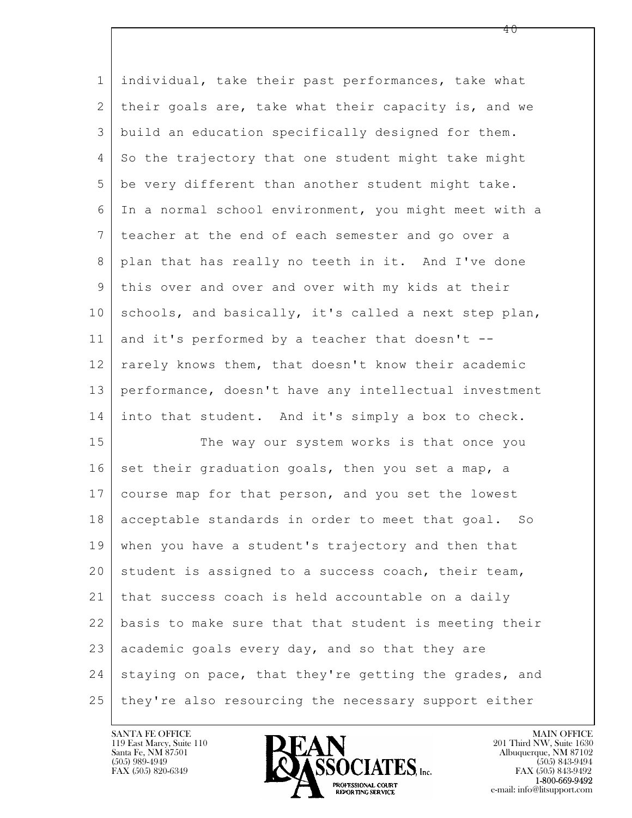| $\mathbf 1$    | individual, take their past performances, take what    |
|----------------|--------------------------------------------------------|
| $\overline{2}$ | their goals are, take what their capacity is, and we   |
| 3              | build an education specifically designed for them.     |
| 4              | So the trajectory that one student might take might    |
| 5              | be very different than another student might take.     |
| 6              | In a normal school environment, you might meet with a  |
| 7              | teacher at the end of each semester and go over a      |
| 8              | plan that has really no teeth in it. And I've done     |
| 9              | this over and over and over with my kids at their      |
| 10             | schools, and basically, it's called a next step plan,  |
| 11             | and it's performed by a teacher that doesn't --        |
| 12             | rarely knows them, that doesn't know their academic    |
| 13             | performance, doesn't have any intellectual investment  |
| 14             | into that student. And it's simply a box to check.     |
| 15             | The way our system works is that once you              |
| 16             | set their graduation goals, then you set a map, a      |
| 17             | course map for that person, and you set the lowest     |
| 18             | acceptable standards in order to meet that goal.<br>So |
| 19             | when you have a student's trajectory and then that     |
| 20             | student is assigned to a success coach, their team,    |
| 21             | that success coach is held accountable on a daily      |
| 22             | basis to make sure that that student is meeting their  |
| 23             | academic goals every day, and so that they are         |
| 24             | staying on pace, that they're getting the grades, and  |
| 25             | they're also resourcing the necessary support either   |

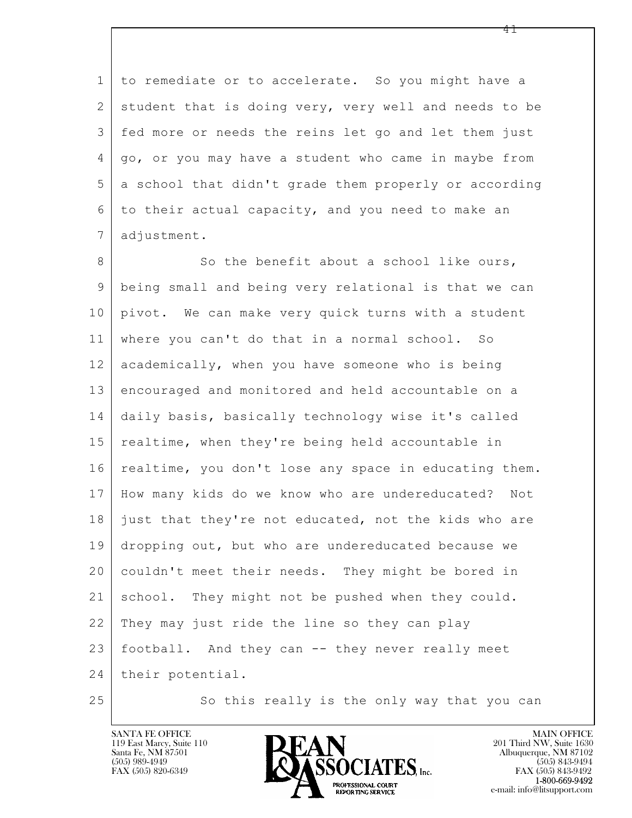1 to remediate or to accelerate. So you might have a 2 student that is doing very, very well and needs to be 3 fed more or needs the reins let go and let them just 4 go, or you may have a student who came in maybe from 5 a school that didn't grade them properly or according 6 to their actual capacity, and you need to make an 7 adjustment.

 $\mathbf{L}$  8 So the benefit about a school like ours, 9 being small and being very relational is that we can 10 pivot. We can make very quick turns with a student 11 where you can't do that in a normal school. So 12 academically, when you have someone who is being 13 encouraged and monitored and held accountable on a 14 daily basis, basically technology wise it's called 15 | realtime, when they're being held accountable in 16 realtime, you don't lose any space in educating them. 17 How many kids do we know who are undereducated? Not 18 just that they're not educated, not the kids who are 19 dropping out, but who are undereducated because we 20 couldn't meet their needs. They might be bored in 21 school. They might not be pushed when they could. 22 They may just ride the line so they can play 23 football. And they can -- they never really meet 24 | their potential.

25 So this really is the only way that you can



FAX (505) 843-9492 e-mail: info@litsupport.com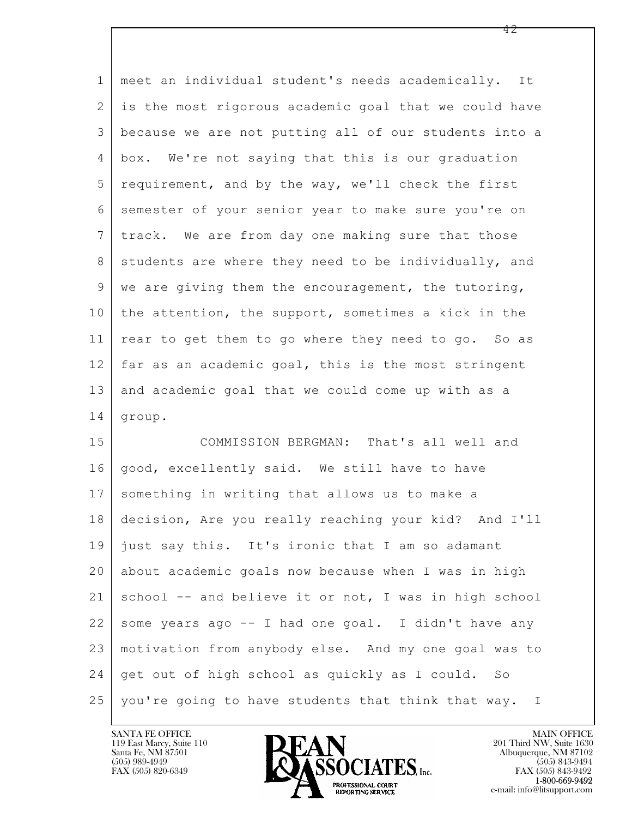| $\mathbf 1$     | meet an individual student's needs academically. It   |
|-----------------|-------------------------------------------------------|
| 2               | is the most rigorous academic goal that we could have |
| 3               | because we are not putting all of our students into a |
| 4               | box. We're not saying that this is our graduation     |
| 5               | requirement, and by the way, we'll check the first    |
| 6               | semester of your senior year to make sure you're on   |
| $7\phantom{.0}$ | track. We are from day one making sure that those     |
| 8               | students are where they need to be individually, and  |
| 9               | we are giving them the encouragement, the tutoring,   |
| 10              | the attention, the support, sometimes a kick in the   |
| 11              | rear to get them to go where they need to go. So as   |
| 12 <sub>1</sub> | far as an academic goal, this is the most stringent   |
| 13              | and academic goal that we could come up with as a     |
| 14              | group.                                                |
| 15              | COMMISSION BERGMAN: That's all well and               |
| 16              | good, excellently said. We still have to have         |
| 17              | something in writing that allows us to make a         |
| 18              | decision, Are you really reaching your kid? And I'll  |
| 19              | just say this. It's ironic that I am so adamant       |
| 20              | about academic goals now because when I was in high   |
| 21              | school -- and believe it or not, I was in high school |
| 22              | some years ago -- I had one goal. I didn't have any   |
| 23              | motivation from anybody else. And my one goal was to  |
| 24              | get out of high school as quickly as I could. So      |

25 you're going to have students that think that way. I

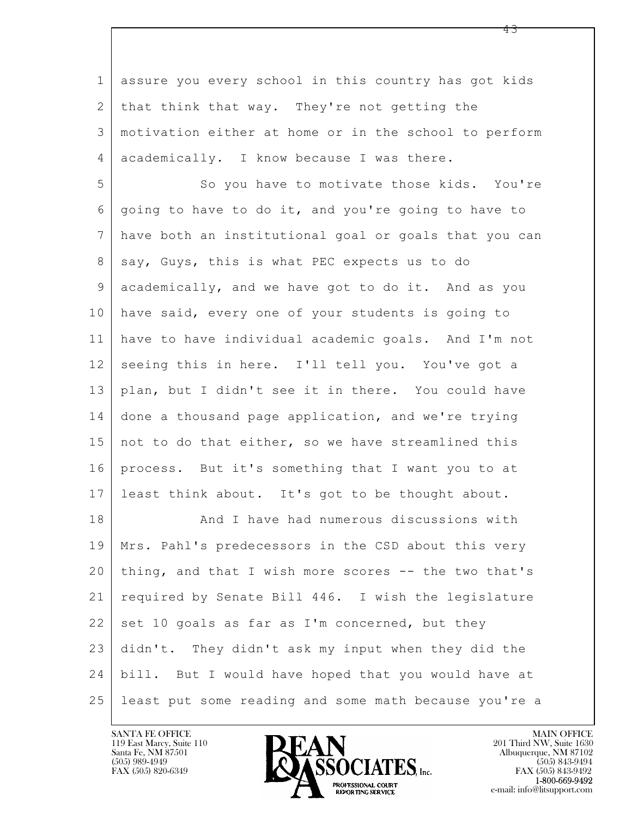$\mathbf{L}$  1 assure you every school in this country has got kids 2 that think that way. They're not getting the 3 motivation either at home or in the school to perform 4 academically. I know because I was there. 5 So you have to motivate those kids. You're 6 going to have to do it, and you're going to have to 7 have both an institutional goal or goals that you can 8 | say, Guys, this is what PEC expects us to do 9 academically, and we have got to do it. And as you 10 have said, every one of your students is going to 11 have to have individual academic goals. And I'm not 12 seeing this in here. I'll tell you. You've got a 13 plan, but I didn't see it in there. You could have 14 done a thousand page application, and we're trying 15 | not to do that either, so we have streamlined this 16 process. But it's something that I want you to at 17 least think about. It's got to be thought about. 18 And I have had numerous discussions with 19 Mrs. Pahl's predecessors in the CSD about this very 20 thing, and that I wish more scores -- the two that's 21 required by Senate Bill 446. I wish the legislature  $22$  set 10 goals as far as I'm concerned, but they 23 didn't. They didn't ask my input when they did the 24 bill. But I would have hoped that you would have at 25 least put some reading and some math because you're a

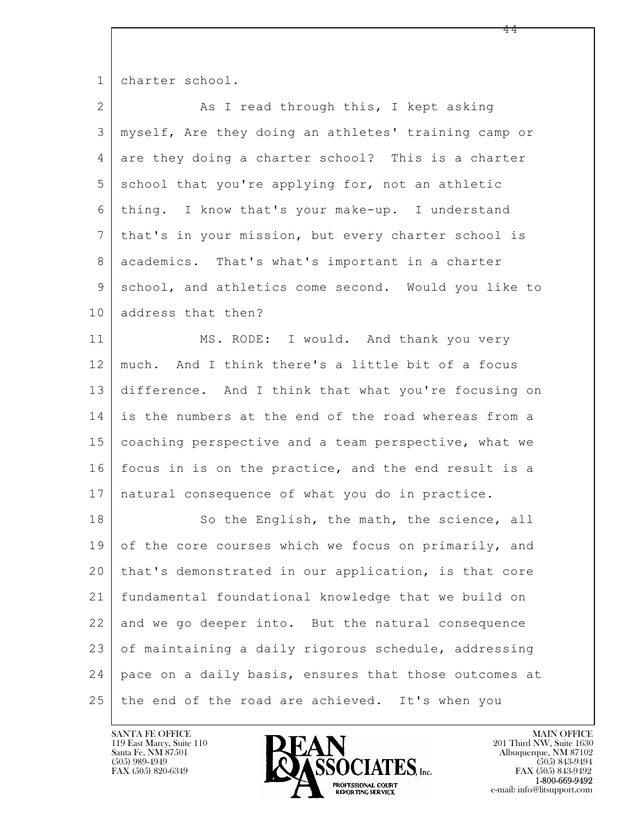1 charter school.

| $\overline{2}$ | As I read through this, I kept asking                 |
|----------------|-------------------------------------------------------|
| 3              | myself, Are they doing an athletes' training camp or  |
| $\overline{4}$ | are they doing a charter school? This is a charter    |
| 5              | school that you're applying for, not an athletic      |
| 6              | thing. I know that's your make-up. I understand       |
| 7              | that's in your mission, but every charter school is   |
| 8              | academics. That's what's important in a charter       |
| $\mathsf 9$    | school, and athletics come second. Would you like to  |
| 10             | address that then?                                    |
| 11             | MS. RODE: I would. And thank you very                 |
| 12             | much. And I think there's a little bit of a focus     |
| 13             | difference. And I think that what you're focusing on  |
| 14             | is the numbers at the end of the road whereas from a  |
| 15             | coaching perspective and a team perspective, what we  |
| 16             | focus in is on the practice, and the end result is a  |
| 17             | natural consequence of what you do in practice.       |
| 18             | So the English, the math, the science, all            |
| 19             | of the core courses which we focus on primarily, and  |
| 20             | that's demonstrated in our application, is that core  |
| 21             | fundamental foundational knowledge that we build on   |
| 22             | and we go deeper into. But the natural consequence    |
| 23             | of maintaining a daily rigorous schedule, addressing  |
| 24             | pace on a daily basis, ensures that those outcomes at |
| 25             | the end of the road are achieved. It's when you       |

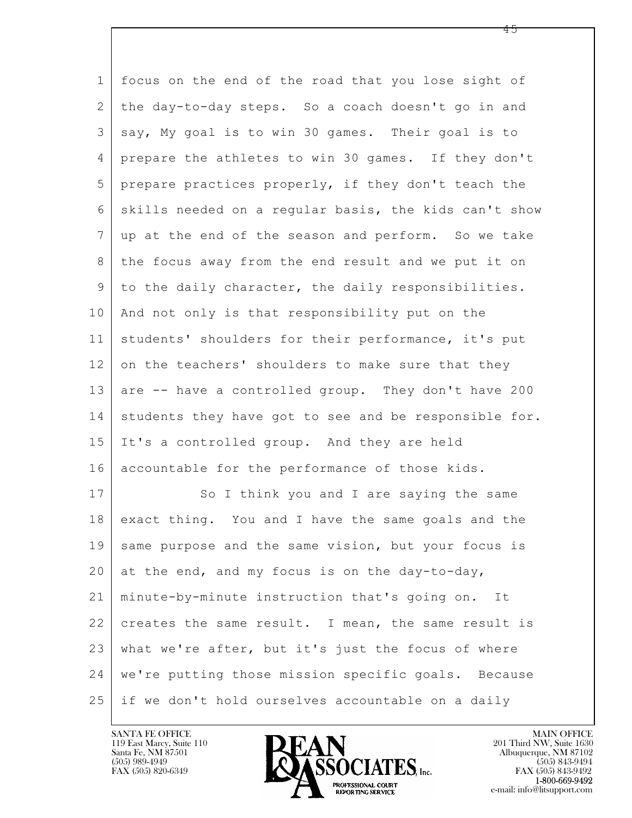$\mathbf{L}$  1 focus on the end of the road that you lose sight of 2 the day-to-day steps. So a coach doesn't go in and 3 say, My goal is to win 30 games. Their goal is to 4 prepare the athletes to win 30 games. If they don't 5 prepare practices properly, if they don't teach the 6 skills needed on a regular basis, the kids can't show 7 up at the end of the season and perform. So we take 8 the focus away from the end result and we put it on 9 to the daily character, the daily responsibilities. 10 | And not only is that responsibility put on the 11 students' shoulders for their performance, it's put 12 on the teachers' shoulders to make sure that they 13 are -- have a controlled group. They don't have 200 14 students they have got to see and be responsible for. 15 It's a controlled group. And they are held 16 accountable for the performance of those kids. 17 So I think you and I are saying the same 18 exact thing. You and I have the same goals and the 19 same purpose and the same vision, but your focus is 20 at the end, and my focus is on the day-to-day, 21 minute-by-minute instruction that's going on. It 22 creates the same result. I mean, the same result is 23 what we're after, but it's just the focus of where 24 we're putting those mission specific goals. Because 25 if we don't hold ourselves accountable on a daily

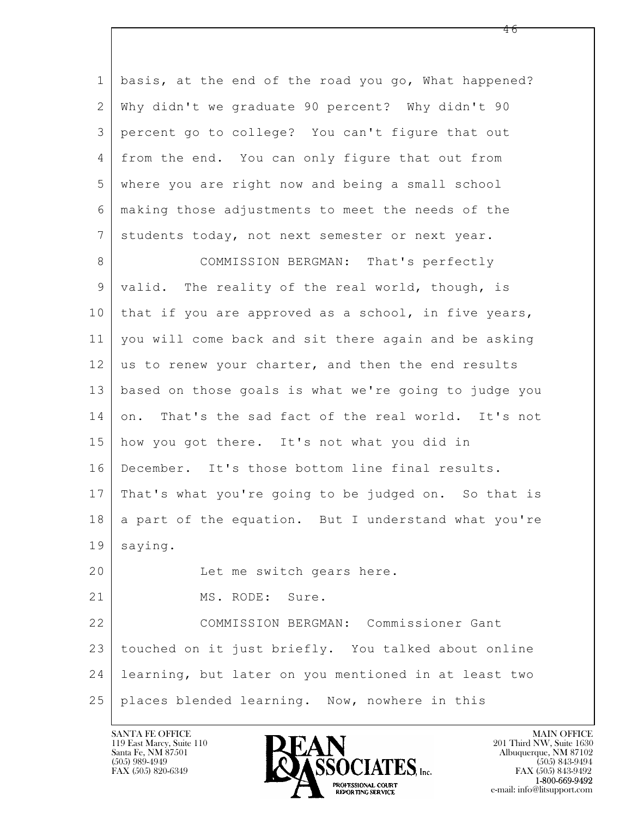| $\mathbf{1}$   | basis, at the end of the road you go, What happened?   |
|----------------|--------------------------------------------------------|
| $\overline{2}$ | Why didn't we graduate 90 percent? Why didn't 90       |
| 3              | percent go to college? You can't figure that out       |
| 4              | from the end. You can only figure that out from        |
| 5              | where you are right now and being a small school       |
| 6              | making those adjustments to meet the needs of the      |
| 7              | students today, not next semester or next year.        |
| 8              | COMMISSION BERGMAN: That's perfectly                   |
| 9              | valid. The reality of the real world, though, is       |
| 10             | that if you are approved as a school, in five years,   |
| 11             | you will come back and sit there again and be asking   |
| 12             | us to renew your charter, and then the end results     |
| 13             | based on those goals is what we're going to judge you  |
| 14             | That's the sad fact of the real world. It's not<br>on. |
| 15             | how you got there. It's not what you did in            |
| 16             | December. It's those bottom line final results.        |
| 17             | That's what you're going to be judged on. So that is   |
| 18             | a part of the equation. But I understand what you're   |
| 19             | saying.                                                |
| 20             | Let me switch gears here.                              |
| 21             | MS. RODE: Sure.                                        |
| 22             | COMMISSION BERGMAN: Commissioner Gant                  |
| 23             | touched on it just briefly. You talked about online    |
| 24             | learning, but later on you mentioned in at least two   |
| 25             | places blended learning. Now, nowhere in this          |

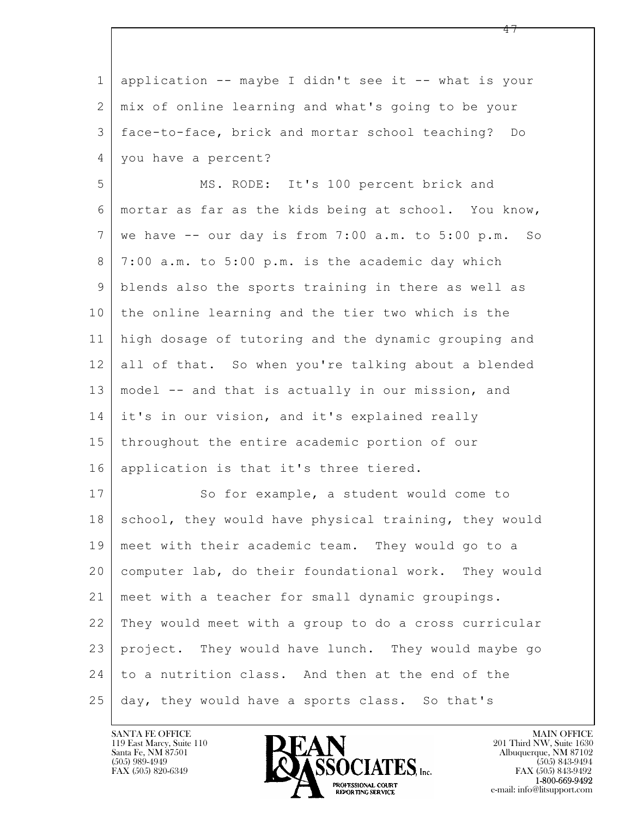$\mathbf{L}$  1 application -- maybe I didn't see it -- what is your 2 mix of online learning and what's going to be your 3 face-to-face, brick and mortar school teaching? Do 4 you have a percent? 5 MS. RODE: It's 100 percent brick and 6 mortar as far as the kids being at school. You know,  $7 \mid$  we have  $-$  our day is from  $7:00$  a.m. to  $5:00$  p.m. So 8 7:00 a.m. to 5:00 p.m. is the academic day which 9 blends also the sports training in there as well as 10 the online learning and the tier two which is the 11 high dosage of tutoring and the dynamic grouping and 12 all of that. So when you're talking about a blended 13 model -- and that is actually in our mission, and 14 it's in our vision, and it's explained really 15 throughout the entire academic portion of our 16 application is that it's three tiered. 17 So for example, a student would come to 18 school, they would have physical training, they would 19 meet with their academic team. They would go to a 20 computer lab, do their foundational work. They would 21 meet with a teacher for small dynamic groupings. 22 They would meet with a group to do a cross curricular 23 project. They would have lunch. They would maybe go 24 to a nutrition class. And then at the end of the 25 day, they would have a sports class. So that's

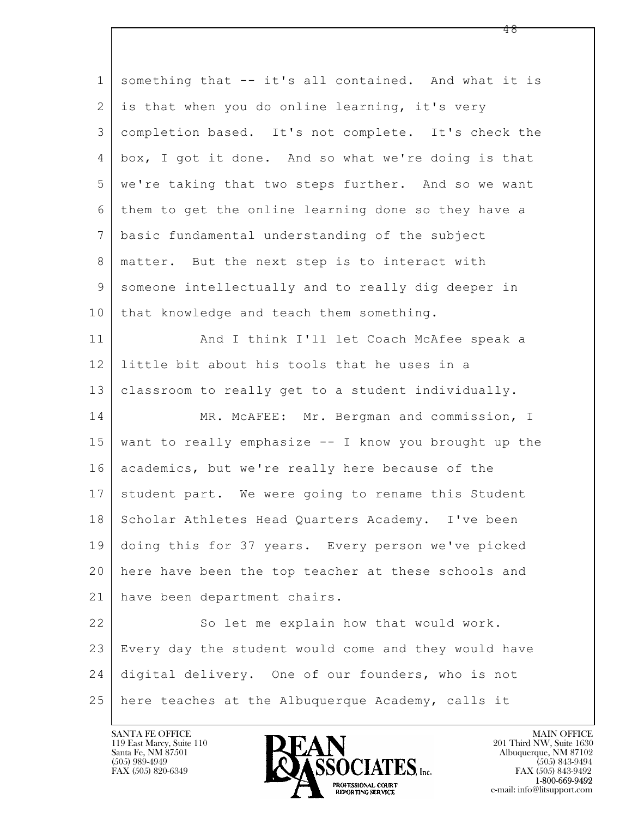| $\mathbf 1$    | something that -- it's all contained. And what it is  |
|----------------|-------------------------------------------------------|
| 2              | is that when you do online learning, it's very        |
| 3              | completion based. It's not complete. It's check the   |
| 4              | box, I got it done. And so what we're doing is that   |
| 5              | we're taking that two steps further. And so we want   |
| 6              | them to get the online learning done so they have a   |
| $7\phantom{.}$ | basic fundamental understanding of the subject        |
| 8              | matter. But the next step is to interact with         |
| 9              | someone intellectually and to really dig deeper in    |
| 10             | that knowledge and teach them something.              |
| 11             | And I think I'll let Coach McAfee speak a             |
| 12             | little bit about his tools that he uses in a          |
| 13             | classroom to really get to a student individually.    |
| 14             | MR. MCAFEE: Mr. Bergman and commission, I             |
| 15             | want to really emphasize -- I know you brought up the |
| 16             | academics, but we're really here because of the       |
| 17             | student part. We were going to rename this Student    |
| 18             | Scholar Athletes Head Quarters Academy. I've been     |
| 19             | doing this for 37 years. Every person we've picked    |
| 20             | here have been the top teacher at these schools and   |
| 21             | have been department chairs.                          |
| 22             | So let me explain how that would work.                |
| 23             | Every day the student would come and they would have  |
| 24             | digital delivery. One of our founders, who is not     |
| 25             | here teaches at the Albuquerque Academy, calls it     |

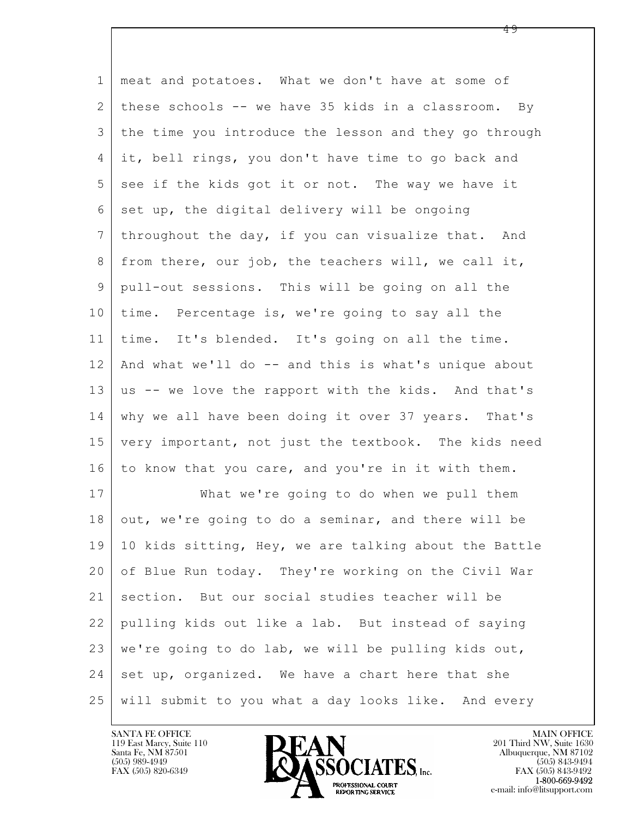$\mathbf{L}$  1 meat and potatoes. What we don't have at some of 2 these schools -- we have 35 kids in a classroom. By 3 the time you introduce the lesson and they go through 4 it, bell rings, you don't have time to go back and  $5$  see if the kids got it or not. The way we have it  $6$  set up, the digital delivery will be ongoing 7 | throughout the day, if you can visualize that. And  $8$  from there, our job, the teachers will, we call it, 9 pull-out sessions. This will be going on all the 10 time. Percentage is, we're going to say all the 11 time. It's blended. It's going on all the time. 12 | And what we'll do -- and this is what's unique about 13 us -- we love the rapport with the kids. And that's 14 why we all have been doing it over 37 years. That's 15 very important, not just the textbook. The kids need 16 to know that you care, and you're in it with them. 17 What we're going to do when we pull them 18 out, we're going to do a seminar, and there will be 19 10 kids sitting, Hey, we are talking about the Battle 20 of Blue Run today. They're working on the Civil War 21 section. But our social studies teacher will be 22 pulling kids out like a lab. But instead of saying 23 we're going to do lab, we will be pulling kids out,  $24$  set up, organized. We have a chart here that she 25 will submit to you what a day looks like. And every



FAX (505) 843-9492 e-mail: info@litsupport.com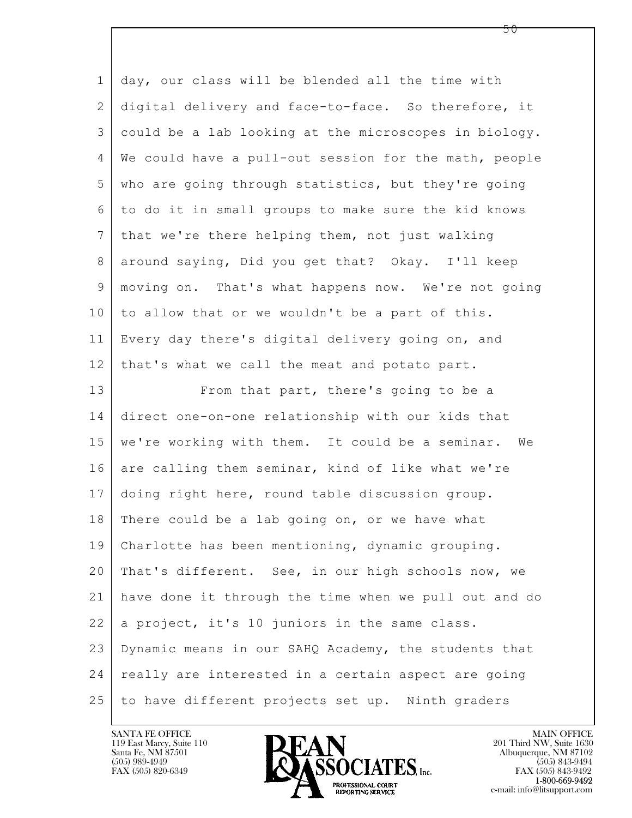$\mathbf{L}$  1 day, our class will be blended all the time with 2 digital delivery and face-to-face. So therefore, it 3 could be a lab looking at the microscopes in biology. 4 We could have a pull-out session for the math, people 5 who are going through statistics, but they're going 6 to do it in small groups to make sure the kid knows 7 that we're there helping them, not just walking 8 around saying, Did you get that? Okay. I'll keep 9 moving on. That's what happens now. We're not going 10 to allow that or we wouldn't be a part of this. 11 Every day there's digital delivery going on, and 12 | that's what we call the meat and potato part. 13 From that part, there's going to be a 14 direct one-on-one relationship with our kids that 15 | we're working with them. It could be a seminar. We 16 are calling them seminar, kind of like what we're 17 doing right here, round table discussion group. 18 | There could be a lab going on, or we have what 19 Charlotte has been mentioning, dynamic grouping. 20 That's different. See, in our high schools now, we 21 have done it through the time when we pull out and do  $22$  a project, it's 10 juniors in the same class. 23 Dynamic means in our SAHQ Academy, the students that 24 really are interested in a certain aspect are going 25 to have different projects set up. Ninth graders



FAX (505) 843-9492 e-mail: info@litsupport.com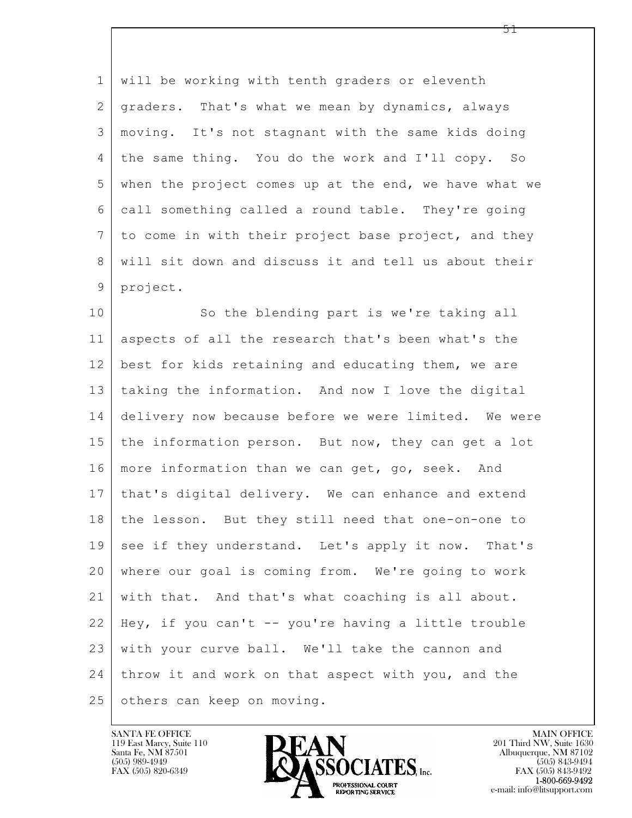1 will be working with tenth graders or eleventh 2 graders. That's what we mean by dynamics, always 3 moving. It's not stagnant with the same kids doing 4 the same thing. You do the work and I'll copy. So 5 when the project comes up at the end, we have what we 6 call something called a round table. They're going 7 to come in with their project base project, and they 8 will sit down and discuss it and tell us about their 9 project.

 $\mathbf{L}$  10 So the blending part is we're taking all 11 aspects of all the research that's been what's the 12 best for kids retaining and educating them, we are 13 taking the information. And now I love the digital 14 delivery now because before we were limited. We were 15 the information person. But now, they can get a lot 16 more information than we can get, go, seek. And 17 that's digital delivery. We can enhance and extend 18 the lesson. But they still need that one-on-one to 19 see if they understand. Let's apply it now. That's 20 where our goal is coming from. We're going to work 21 with that. And that's what coaching is all about. 22 Hey, if you can't -- you're having a little trouble 23 | with your curve ball. We'll take the cannon and 24 throw it and work on that aspect with you, and the 25 others can keep on moving.

119 East Marcy, Suite 110<br>Santa Fe, NM 87501

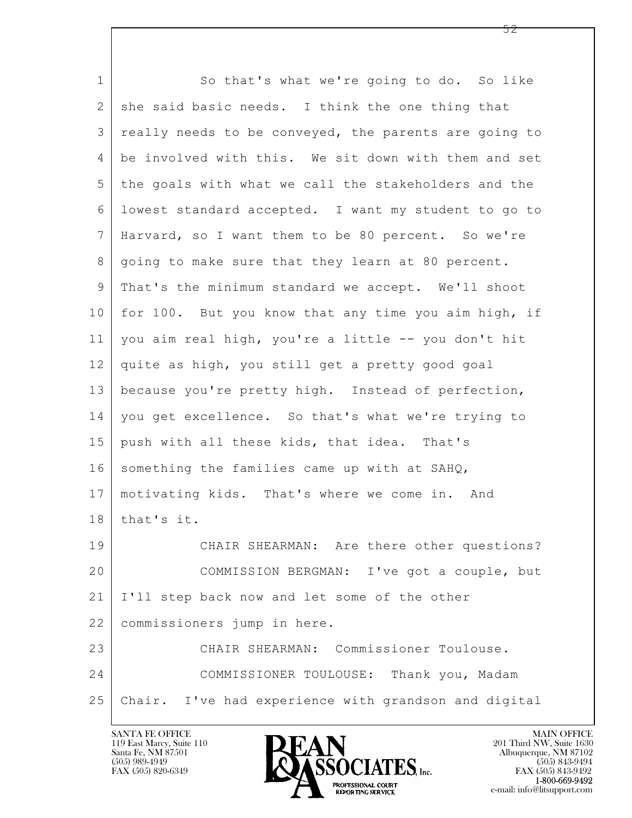| $\mathbf 1$    | So that's what we're going to do. So like             |
|----------------|-------------------------------------------------------|
| $\mathbf{2}$   | she said basic needs. I think the one thing that      |
| 3              | really needs to be conveyed, the parents are going to |
| 4              | be involved with this. We sit down with them and set  |
| 5              | the goals with what we call the stakeholders and the  |
| 6              | lowest standard accepted. I want my student to go to  |
| $7\phantom{.}$ | Harvard, so I want them to be 80 percent. So we're    |
| 8              | going to make sure that they learn at 80 percent.     |
| 9              | That's the minimum standard we accept. We'll shoot    |
| 10             | for 100. But you know that any time you aim high, if  |
| 11             | you aim real high, you're a little -- you don't hit   |
| 12             | quite as high, you still get a pretty good goal       |
| 13             | because you're pretty high. Instead of perfection,    |
| 14             | you get excellence. So that's what we're trying to    |
| 15             | push with all these kids, that idea. That's           |
| 16             | something the families came up with at SAHQ,          |
| 17             | motivating kids. That's where we come in. And         |
| 18             | that's it.                                            |
| 19             | CHAIR SHEARMAN: Are there other questions?            |
| 20             | COMMISSION BERGMAN: I've got a couple, but            |
| 21             | I'll step back now and let some of the other          |
| 22             | commissioners jump in here.                           |
| 23             | CHAIR SHEARMAN: Commissioner Toulouse.                |
| 24             | COMMISSIONER TOULOUSE: Thank you, Madam               |
| 25             | Chair. I've had experience with grandson and digital  |
|                |                                                       |

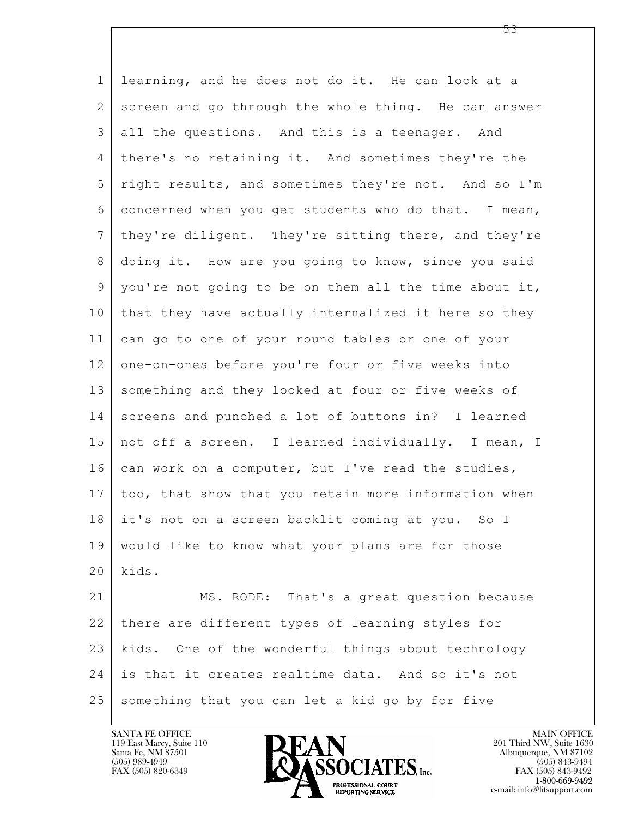$\mathbf{L}$  1 learning, and he does not do it. He can look at a 2 screen and go through the whole thing. He can answer 3 all the questions. And this is a teenager. And 4 there's no retaining it. And sometimes they're the 5 right results, and sometimes they're not. And so I'm 6 concerned when you get students who do that. I mean, 7 they're diligent. They're sitting there, and they're 8 doing it. How are you going to know, since you said 9 you're not going to be on them all the time about it, 10 that they have actually internalized it here so they 11 can go to one of your round tables or one of your 12 one-on-ones before you're four or five weeks into 13 something and they looked at four or five weeks of 14 screens and punched a lot of buttons in? I learned 15 not off a screen. I learned individually. I mean, I 16 can work on a computer, but I've read the studies, 17 too, that show that you retain more information when 18 it's not on a screen backlit coming at you. So I 19 would like to know what your plans are for those 20 kids. 21 MS. RODE: That's a great question because 22 there are different types of learning styles for 23 kids. One of the wonderful things about technology 24 is that it creates realtime data. And so it's not 25 something that you can let a kid go by for five

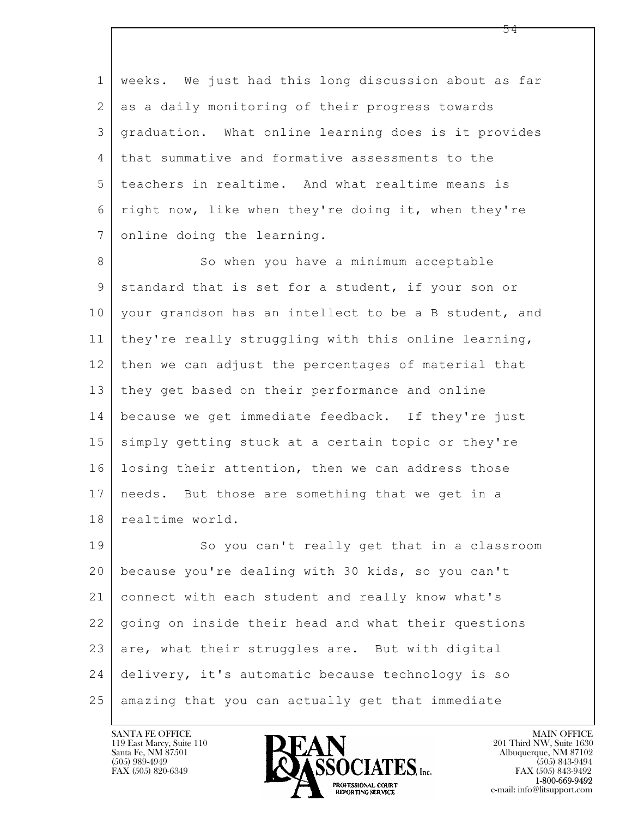1 weeks. We just had this long discussion about as far 2 as a daily monitoring of their progress towards 3 graduation. What online learning does is it provides 4 that summative and formative assessments to the 5 teachers in realtime. And what realtime means is 6 right now, like when they're doing it, when they're 7 online doing the learning.

8 So when you have a minimum acceptable 9 standard that is set for a student, if your son or 10 your grandson has an intellect to be a B student, and 11 they're really struggling with this online learning, 12 then we can adjust the percentages of material that 13 they get based on their performance and online 14 because we get immediate feedback. If they're just 15 | simply getting stuck at a certain topic or they're 16 losing their attention, then we can address those 17 needs. But those are something that we get in a 18 | realtime world.

 $\mathbf{L}$  19 So you can't really get that in a classroom 20 because you're dealing with 30 kids, so you can't 21 connect with each student and really know what's 22 going on inside their head and what their questions  $23$  are, what their struggles are. But with digital 24 delivery, it's automatic because technology is so 25 amazing that you can actually get that immediate

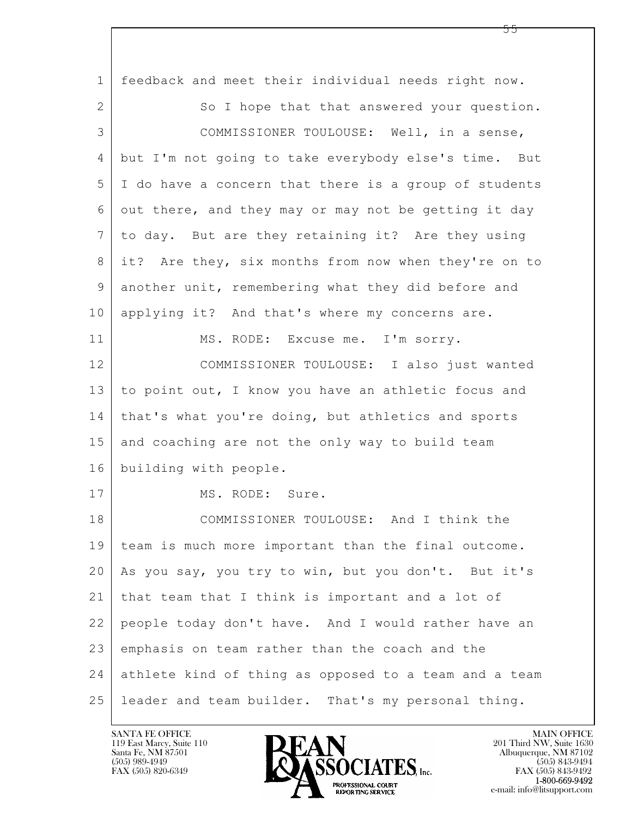| $\mathbf 1$    | feedback and meet their individual needs right now.   |
|----------------|-------------------------------------------------------|
| $\overline{2}$ | So I hope that that answered your question.           |
| 3              | COMMISSIONER TOULOUSE: Well, in a sense,              |
| 4              | but I'm not going to take everybody else's time. But  |
| 5              | I do have a concern that there is a group of students |
| 6              | out there, and they may or may not be getting it day  |
| $7\phantom{.}$ | to day. But are they retaining it? Are they using     |
| 8              | it? Are they, six months from now when they're on to  |
| 9              | another unit, remembering what they did before and    |
| 10             | applying it? And that's where my concerns are.        |
| 11             | MS. RODE: Excuse me. I'm sorry.                       |
| 12             | COMMISSIONER TOULOUSE: I also just wanted             |
| 13             | to point out, I know you have an athletic focus and   |
| 14             | that's what you're doing, but athletics and sports    |
| 15             | and coaching are not the only way to build team       |
| 16             | building with people.                                 |
| 17             | MS. RODE: Sure.                                       |
| 18             | COMMISSIONER TOULOUSE: And I think the                |
| 19             | team is much more important than the final outcome.   |
| 20             | As you say, you try to win, but you don't. But it's   |
| 21             | that team that I think is important and a lot of      |
| 22             | people today don't have. And I would rather have an   |
| 23             | emphasis on team rather than the coach and the        |
| 24             | athlete kind of thing as opposed to a team and a team |
| 25             | leader and team builder. That's my personal thing.    |

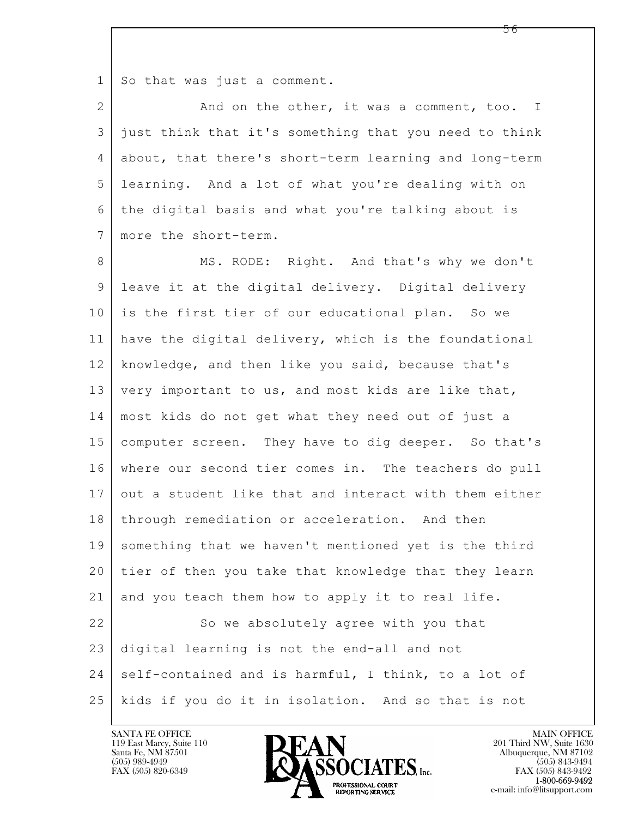1 So that was just a comment.

2 And on the other, it was a comment, too. I 3 just think that it's something that you need to think 4 about, that there's short-term learning and long-term 5 learning. And a lot of what you're dealing with on 6 the digital basis and what you're talking about is 7 more the short-term.

 $\mathbf{L}$  8 MS. RODE: Right. And that's why we don't 9 leave it at the digital delivery. Digital delivery 10 is the first tier of our educational plan. So we 11 have the digital delivery, which is the foundational 12 knowledge, and then like you said, because that's 13 very important to us, and most kids are like that, 14 most kids do not get what they need out of just a 15 computer screen. They have to dig deeper. So that's 16 where our second tier comes in. The teachers do pull 17 out a student like that and interact with them either 18 | through remediation or acceleration. And then 19 something that we haven't mentioned yet is the third 20 tier of then you take that knowledge that they learn 21 and you teach them how to apply it to real life. 22 So we absolutely agree with you that 23 digital learning is not the end-all and not 24 self-contained and is harmful, I think, to a lot of 25 kids if you do it in isolation. And so that is not

119 East Marcy, Suite 110<br>Santa Fe, NM 87501



FAX (505) 843-9492 e-mail: info@litsupport.com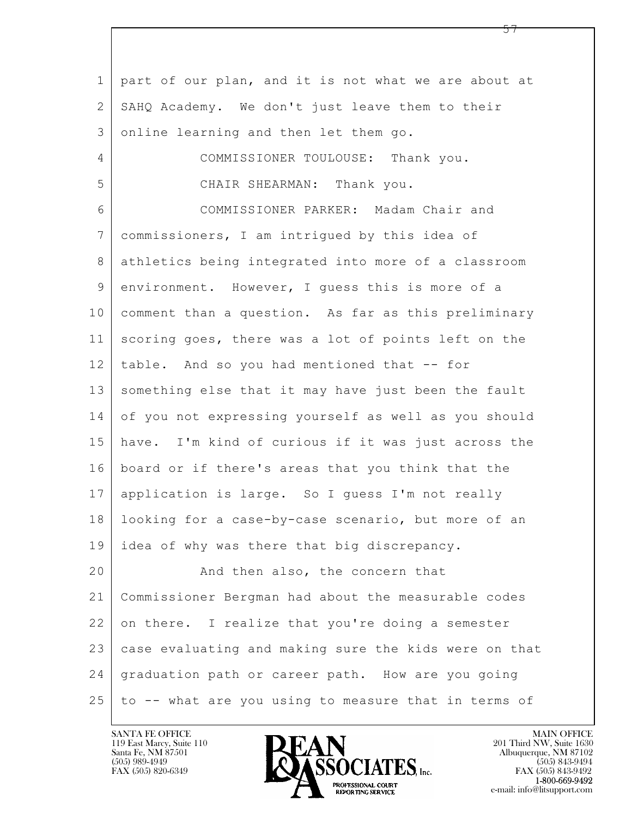$\mathbf{L}$  1 part of our plan, and it is not what we are about at 2 SAHQ Academy. We don't just leave them to their 3 online learning and then let them go. 4 COMMISSIONER TOULOUSE: Thank you. 5 CHAIR SHEARMAN: Thank you. 6 COMMISSIONER PARKER: Madam Chair and 7 commissioners, I am intrigued by this idea of 8 athletics being integrated into more of a classroom 9 environment. However, I guess this is more of a 10 comment than a question. As far as this preliminary 11 scoring goes, there was a lot of points left on the 12 table. And so you had mentioned that -- for 13 something else that it may have just been the fault 14 of you not expressing yourself as well as you should 15 have. I'm kind of curious if it was just across the 16 board or if there's areas that you think that the 17 application is large. So I guess I'm not really 18 looking for a case-by-case scenario, but more of an 19 | idea of why was there that big discrepancy. 20 And then also, the concern that 21 Commissioner Bergman had about the measurable codes 22 on there. I realize that you're doing a semester 23 case evaluating and making sure the kids were on that 24 graduation path or career path. How are you going 25 to -- what are you using to measure that in terms of

119 East Marcy, Suite 110<br>Santa Fe, NM 87501



FAX (505) 843-9492 e-mail: info@litsupport.com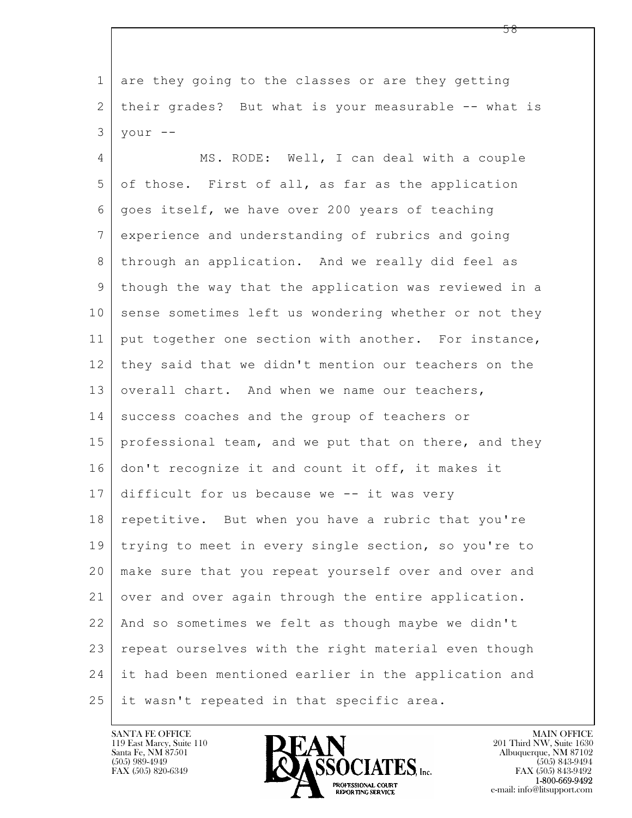1 are they going to the classes or are they getting 2 their grades? But what is your measurable -- what is  $3$  your  $-$ 

 $\mathbf{L}$  4 MS. RODE: Well, I can deal with a couple 5 of those. First of all, as far as the application 6 goes itself, we have over 200 years of teaching 7 experience and understanding of rubrics and going 8 | through an application. And we really did feel as 9 though the way that the application was reviewed in a 10 sense sometimes left us wondering whether or not they 11 | put together one section with another. For instance, 12 they said that we didn't mention our teachers on the 13 overall chart. And when we name our teachers, 14 success coaches and the group of teachers or 15 professional team, and we put that on there, and they 16 don't recognize it and count it off, it makes it 17 difficult for us because we -- it was very 18 repetitive. But when you have a rubric that you're 19 trying to meet in every single section, so you're to 20 make sure that you repeat yourself over and over and 21 over and over again through the entire application. 22 And so sometimes we felt as though maybe we didn't 23 | repeat ourselves with the right material even though 24 it had been mentioned earlier in the application and 25 it wasn't repeated in that specific area.

119 East Marcy, Suite 110<br>Santa Fe, NM 87501



FAX (505) 843-9492 e-mail: info@litsupport.com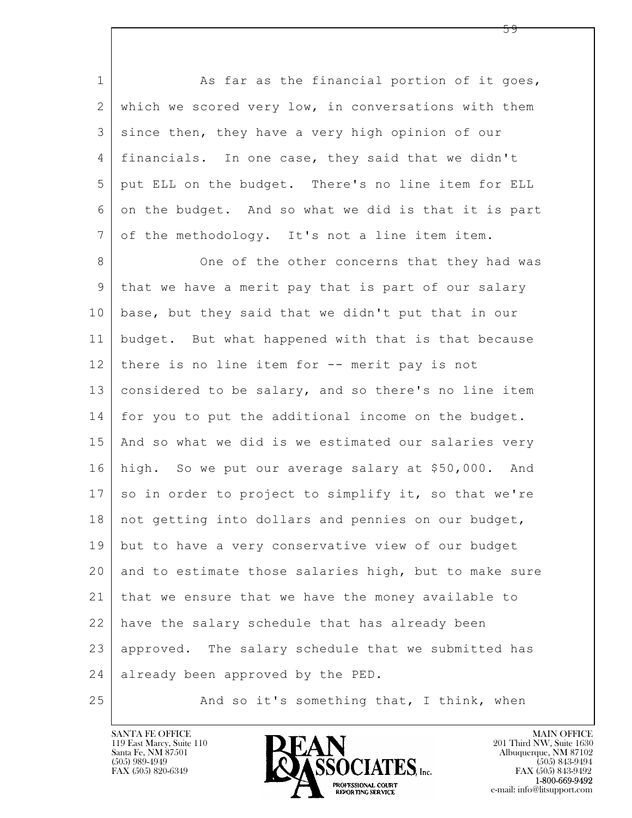$\mathbf{L}$  1 As far as the financial portion of it goes, 2 which we scored very low, in conversations with them 3 since then, they have a very high opinion of our 4 financials. In one case, they said that we didn't 5 put ELL on the budget. There's no line item for ELL 6 on the budget. And so what we did is that it is part 7 of the methodology. It's not a line item item. 8 | Cone of the other concerns that they had was 9 that we have a merit pay that is part of our salary 10 base, but they said that we didn't put that in our 11 budget. But what happened with that is that because 12 there is no line item for -- merit pay is not 13 considered to be salary, and so there's no line item 14 for you to put the additional income on the budget. 15 And so what we did is we estimated our salaries very 16 high. So we put our average salary at \$50,000. And  $17$  so in order to project to simplify it, so that we're 18 | not getting into dollars and pennies on our budget, 19 but to have a very conservative view of our budget 20 and to estimate those salaries high, but to make sure 21 that we ensure that we have the money available to 22 have the salary schedule that has already been 23 | approved. The salary schedule that we submitted has 24 already been approved by the PED.

25 And so it's something that, I think, when

119 East Marcy, Suite 110<br>Santa Fe, NM 87501

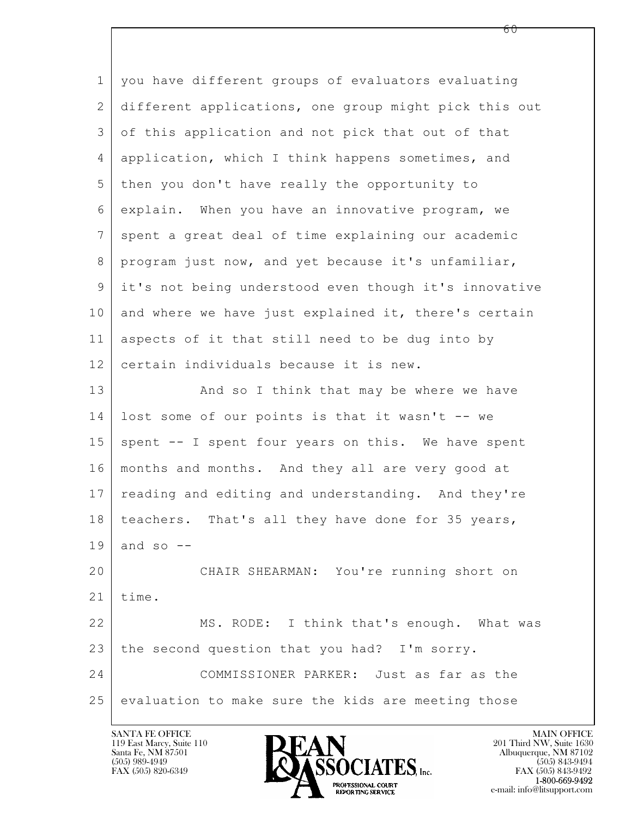$\mathbf{L}$  1 you have different groups of evaluators evaluating 2 different applications, one group might pick this out 3 of this application and not pick that out of that 4 application, which I think happens sometimes, and 5 then you don't have really the opportunity to 6 explain. When you have an innovative program, we 7 spent a great deal of time explaining our academic 8 | program just now, and yet because it's unfamiliar, 9 it's not being understood even though it's innovative 10 and where we have just explained it, there's certain 11 aspects of it that still need to be dug into by 12 certain individuals because it is new. 13 And so I think that may be where we have 14 lost some of our points is that it wasn't -- we 15 | spent -- I spent four years on this. We have spent 16 months and months. And they all are very good at 17 | reading and editing and understanding. And they're 18 | teachers. That's all they have done for 35 years,  $19$  and so  $-$ 20 CHAIR SHEARMAN: You're running short on  $21$  | time. 22 MS. RODE: I think that's enough. What was 23 the second question that you had? I'm sorry. 24 COMMISSIONER PARKER: Just as far as the 25 evaluation to make sure the kids are meeting those

119 East Marcy, Suite 110<br>Santa Fe, NM 87501



FAX (505) 843-9492 e-mail: info@litsupport.com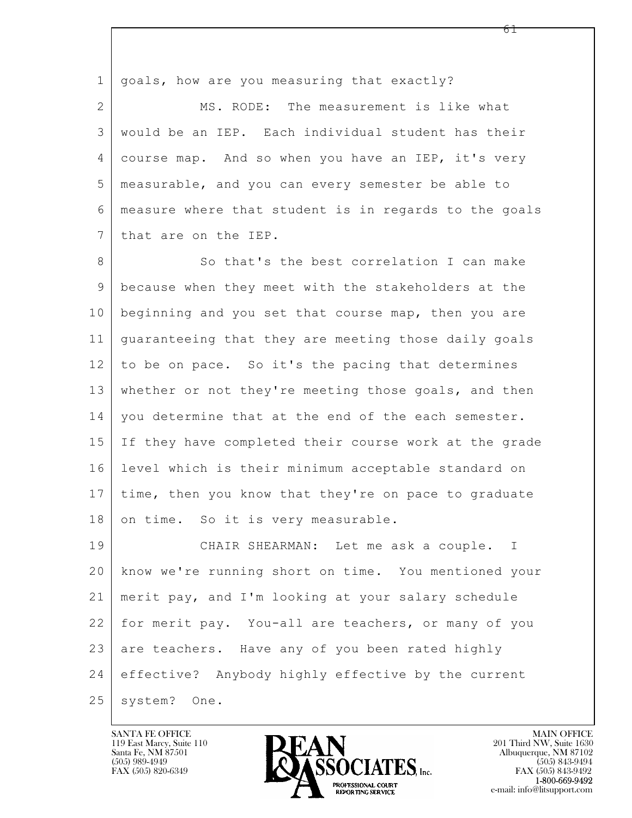$\mathbf{L}$  1 | goals, how are you measuring that exactly? 2 MS. RODE: The measurement is like what 3 would be an IEP. Each individual student has their 4 course map. And so when you have an IEP, it's very 5 measurable, and you can every semester be able to 6 measure where that student is in regards to the goals 7 that are on the IEP. 8 So that's the best correlation I can make 9 because when they meet with the stakeholders at the 10 beginning and you set that course map, then you are 11 guaranteeing that they are meeting those daily goals 12 to be on pace. So it's the pacing that determines 13 whether or not they're meeting those goals, and then 14 | you determine that at the end of the each semester. 15 If they have completed their course work at the grade 16 level which is their minimum acceptable standard on 17 time, then you know that they're on pace to graduate 18 on time. So it is very measurable. 19 CHAIR SHEARMAN: Let me ask a couple. I 20 know we're running short on time. You mentioned your 21 merit pay, and I'm looking at your salary schedule 22 for merit pay. You-all are teachers, or many of you 23 are teachers. Have any of you been rated highly 24 effective? Anybody highly effective by the current 25 | system? One.

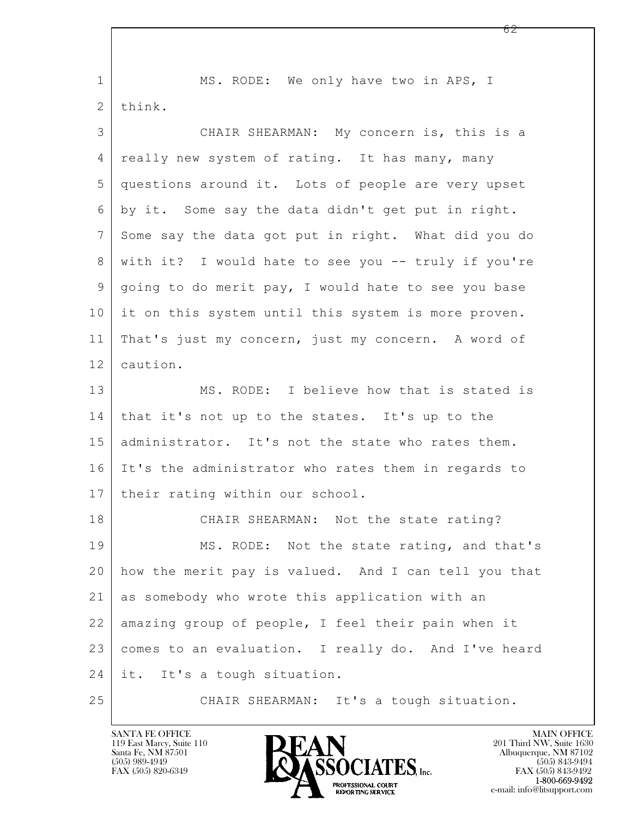| $\mathbf 1$ | MS. RODE: We only have two in APS, I                 |
|-------------|------------------------------------------------------|
| 2           | think.                                               |
| 3           | CHAIR SHEARMAN: My concern is, this is a             |
| 4           | really new system of rating. It has many, many       |
| 5           | questions around it. Lots of people are very upset   |
| 6           | by it. Some say the data didn't get put in right.    |
| 7           | Some say the data got put in right. What did you do  |
| 8           | with it? I would hate to see you -- truly if you're  |
| 9           | going to do merit pay, I would hate to see you base  |
| 10          | it on this system until this system is more proven.  |
| 11          | That's just my concern, just my concern. A word of   |
| 12          | caution.                                             |
| 13          | MS. RODE: I believe how that is stated is            |
| 14          | that it's not up to the states. It's up to the       |
| 15          | administrator. It's not the state who rates them.    |
| 16          | It's the administrator who rates them in regards to  |
| 17          | their rating within our school.                      |
| 18          | CHAIR SHEARMAN: Not the state rating?                |
| 19          | MS. RODE: Not the state rating, and that's           |
| 20          | how the merit pay is valued. And I can tell you that |
| 21          | as somebody who wrote this application with an       |
| 22          | amazing group of people, I feel their pain when it   |
| 23          | comes to an evaluation. I really do. And I've heard  |
| 24          | it. It's a tough situation.                          |
| 25          | CHAIR SHEARMAN: It's a tough situation.              |

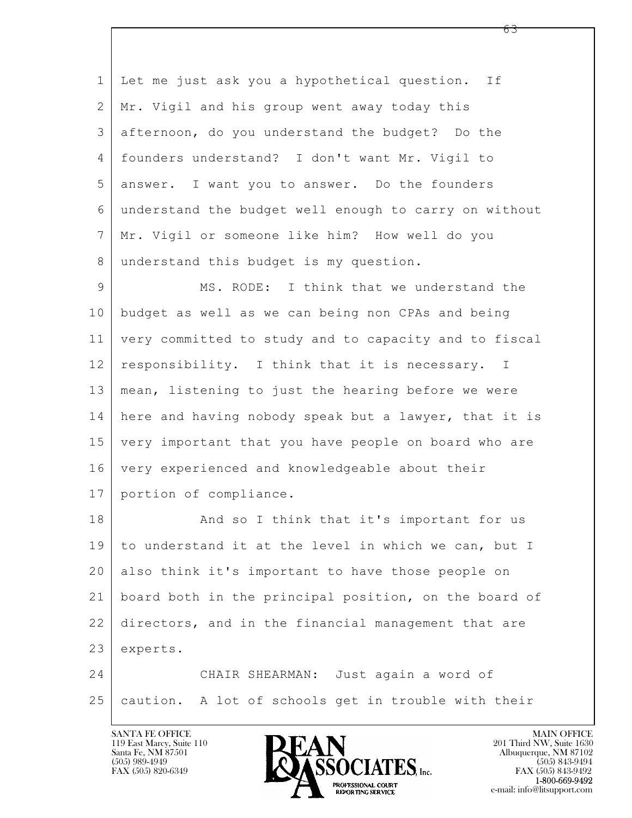$\mathbf{L}$  1 Let me just ask you a hypothetical question. If 2 | Mr. Vigil and his group went away today this 3 afternoon, do you understand the budget? Do the 4 founders understand? I don't want Mr. Vigil to 5 answer. I want you to answer. Do the founders 6 understand the budget well enough to carry on without 7 Mr. Vigil or someone like him? How well do you 8 understand this budget is my question. 9 MS. RODE: I think that we understand the 10 budget as well as we can being non CPAs and being 11 very committed to study and to capacity and to fiscal 12 responsibility. I think that it is necessary. I 13 mean, listening to just the hearing before we were 14 here and having nobody speak but a lawyer, that it is 15 very important that you have people on board who are 16 very experienced and knowledgeable about their 17 portion of compliance. 18 | And so I think that it's important for us 19 to understand it at the level in which we can, but I 20 also think it's important to have those people on 21 board both in the principal position, on the board of 22 directors, and in the financial management that are 23 experts. 24 CHAIR SHEARMAN: Just again a word of 25 caution. A lot of schools get in trouble with their

119 East Marcy, Suite 110<br>Santa Fe, NM 87501



FAX (505) 843-9492 e-mail: info@litsupport.com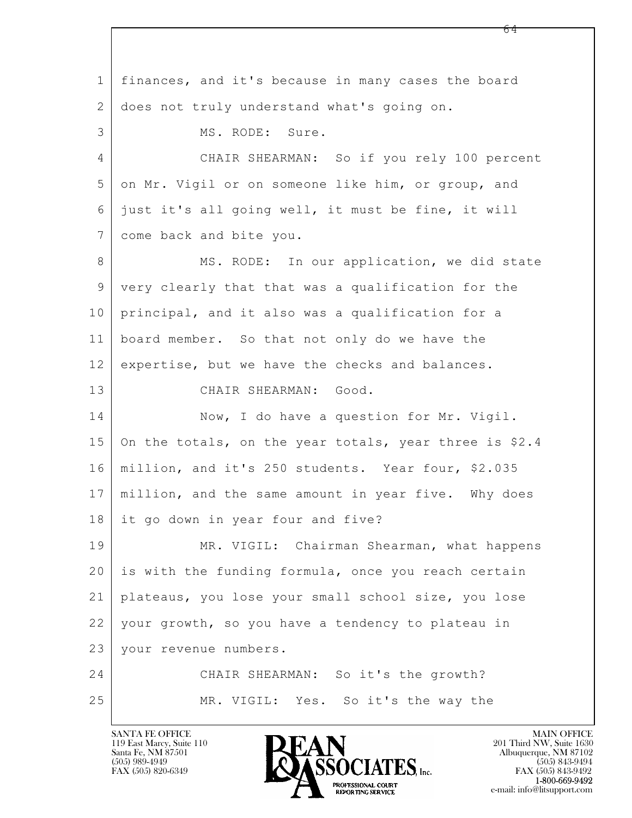$\mathbf{L}$  1 finances, and it's because in many cases the board 2 does not truly understand what's going on. 3 MS. RODE: Sure. 4 CHAIR SHEARMAN: So if you rely 100 percent 5 on Mr. Vigil or on someone like him, or group, and 6 just it's all going well, it must be fine, it will 7 come back and bite you. 8 MS. RODE: In our application, we did state 9 very clearly that that was a qualification for the 10 principal, and it also was a qualification for a 11 board member. So that not only do we have the 12 expertise, but we have the checks and balances. 13 CHAIR SHEARMAN: Good. 14 Now, I do have a question for Mr. Vigil. 15 On the totals, on the year totals, year three is \$2.4 16 million, and it's 250 students. Year four, \$2.035 17 million, and the same amount in year five. Why does 18 it go down in year four and five? 19 MR. VIGIL: Chairman Shearman, what happens 20 is with the funding formula, once you reach certain 21 plateaus, you lose your small school size, you lose 22 your growth, so you have a tendency to plateau in 23 your revenue numbers. 24 CHAIR SHEARMAN: So it's the growth? 25 MR. VIGIL: Yes. So it's the way the

119 East Marcy, Suite 110<br>Santa Fe, NM 87501



FAX (505) 843-9492 e-mail: info@litsupport.com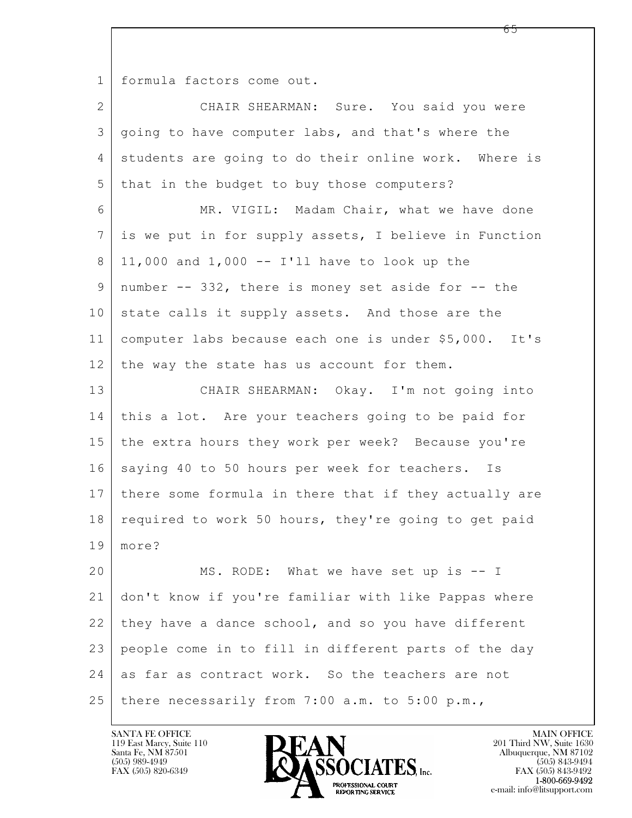1 formula factors come out.

| $\overline{2}$ | CHAIR SHEARMAN: Sure. You said you were               |
|----------------|-------------------------------------------------------|
| 3              | going to have computer labs, and that's where the     |
| 4              | students are going to do their online work. Where is  |
| 5              | that in the budget to buy those computers?            |
| 6              | MR. VIGIL: Madam Chair, what we have done             |
| 7              | is we put in for supply assets, I believe in Function |
| 8              | 11,000 and $1,000$ -- I'll have to look up the        |
| 9              | number -- 332, there is money set aside for -- the    |
| 10             | state calls it supply assets. And those are the       |
| 11             | computer labs because each one is under \$5,000. It's |
| 12             | the way the state has us account for them.            |
| 13             | CHAIR SHEARMAN: Okay. I'm not going into              |
| 14             | this a lot. Are your teachers going to be paid for    |
| 15             | the extra hours they work per week? Because you're    |
| 16             | saying 40 to 50 hours per week for teachers. Is       |
| 17             | there some formula in there that if they actually are |
| 18             | required to work 50 hours, they're going to get paid  |
| 19             | more?                                                 |
| 20             | MS. RODE: What we have set up is -- I                 |
| 21             | don't know if you're familiar with like Pappas where  |
| 22             | they have a dance school, and so you have different   |
| 23             | people come in to fill in different parts of the day  |
| 24             | as far as contract work. So the teachers are not      |
| 25             | there necessarily from 7:00 a.m. to 5:00 p.m.,        |

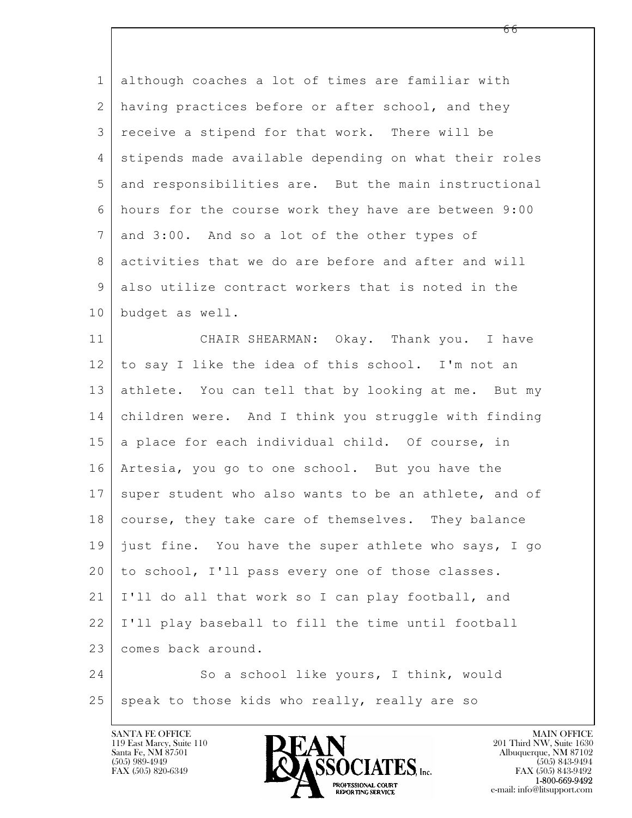| $\mathbf{1}$   | although coaches a lot of times are familiar with     |
|----------------|-------------------------------------------------------|
| $\mathbf{2}$   | having practices before or after school, and they     |
| 3              | receive a stipend for that work. There will be        |
| 4              | stipends made available depending on what their roles |
| 5              | and responsibilities are. But the main instructional  |
| 6              | hours for the course work they have are between 9:00  |
| $7\phantom{.}$ | and 3:00. And so a lot of the other types of          |
| 8              | activities that we do are before and after and will   |
| $\overline{9}$ | also utilize contract workers that is noted in the    |
| 10             | budget as well.                                       |
| 11             | CHAIR SHEARMAN: Okay. Thank you. I have               |
| 12             | to say I like the idea of this school. I'm not an     |
| 13             | athlete. You can tell that by looking at me. But my   |
| 14             | children were. And I think you struggle with finding  |
| 15             | a place for each individual child. Of course, in      |
| 16             | Artesia, you go to one school. But you have the       |
| 17             | super student who also wants to be an athlete, and of |
| 18             | course, they take care of themselves. They balance    |
| 19             | just fine. You have the super athlete who says, I go  |
| 20             | to school, I'll pass every one of those classes.      |
| 21             | I'll do all that work so I can play football, and     |
| 22             | I'll play baseball to fill the time until football    |
| 23             | comes back around.                                    |
| 24             | So a school like yours, I think, would                |
| 25             | speak to those kids who really, really are so         |

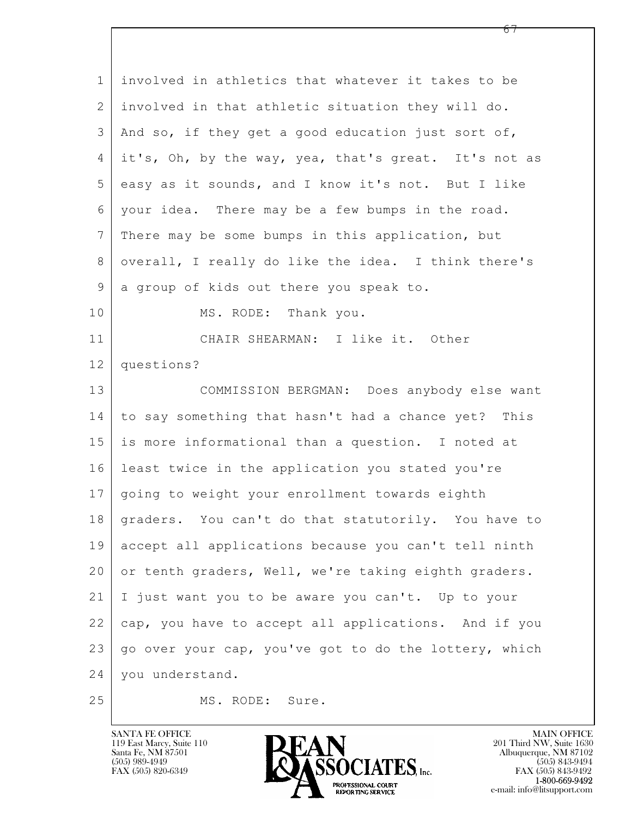| $\mathbf 1$    | involved in athletics that whatever it takes to be     |
|----------------|--------------------------------------------------------|
| 2              | involved in that athletic situation they will do.      |
| 3              | And so, if they get a good education just sort of,     |
| 4              | it's, Oh, by the way, yea, that's great. It's not as   |
| 5              | easy as it sounds, and I know it's not. But I like     |
| 6              | your idea. There may be a few bumps in the road.       |
| $\overline{7}$ | There may be some bumps in this application, but       |
| $8\,$          | overall, I really do like the idea. I think there's    |
| $\mathsf 9$    | a group of kids out there you speak to.                |
| 10             | MS. RODE: Thank you.                                   |
| 11             | CHAIR SHEARMAN: I like it. Other                       |
| 12             | questions?                                             |
| 13             | COMMISSION BERGMAN: Does anybody else want             |
| 14             | to say something that hasn't had a chance yet? This    |
| 15             | is more informational than a question. I noted at      |
| 16             | least twice in the application you stated you're       |
| 17             | going to weight your enrollment towards eighth         |
|                | 18 graders. You can't do that statutorily. You have to |
| 19             | accept all applications because you can't tell ninth   |
| 20             | or tenth graders, Well, we're taking eighth graders.   |
| 21             | I just want you to be aware you can't. Up to your      |
| 22             | cap, you have to accept all applications. And if you   |
| 23             | go over your cap, you've got to do the lottery, which  |
| 24             | you understand.                                        |
| 25             | MS. RODE: Sure.                                        |

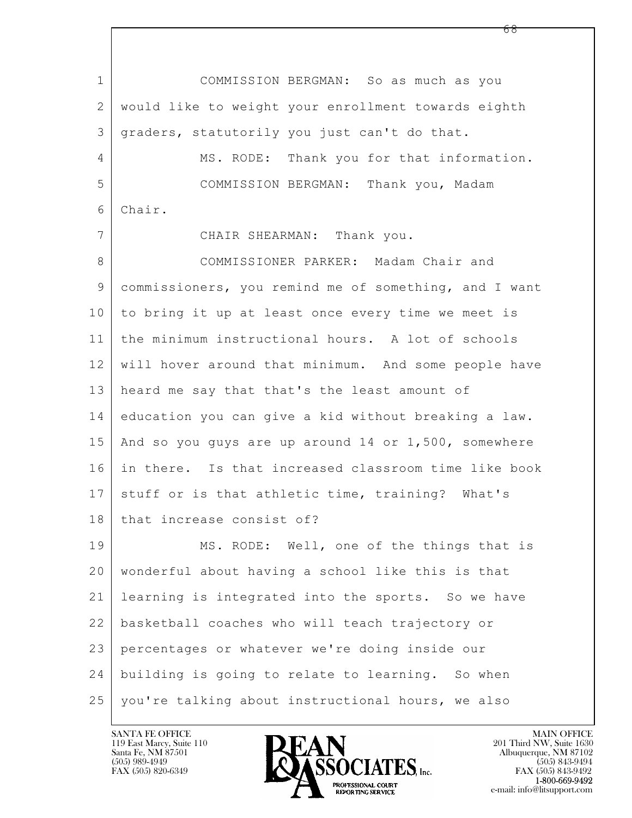$\mathbf{L}$  1 COMMISSION BERGMAN: So as much as you 2 would like to weight your enrollment towards eighth 3 graders, statutorily you just can't do that. 4 MS. RODE: Thank you for that information. 5 COMMISSION BERGMAN: Thank you, Madam 6 Chair. 7 CHAIR SHEARMAN: Thank you. 8 COMMISSIONER PARKER: Madam Chair and 9 commissioners, you remind me of something, and I want 10 to bring it up at least once every time we meet is 11 the minimum instructional hours. A lot of schools 12 will hover around that minimum. And some people have 13 heard me say that that's the least amount of 14 education you can give a kid without breaking a law. 15 And so you guys are up around 14 or 1,500, somewhere 16 in there. Is that increased classroom time like book 17 stuff or is that athletic time, training? What's 18 that increase consist of? 19 MS. RODE: Well, one of the things that is 20 wonderful about having a school like this is that 21 learning is integrated into the sports. So we have 22 basketball coaches who will teach trajectory or 23 percentages or whatever we're doing inside our 24 building is going to relate to learning. So when 25 you're talking about instructional hours, we also

119 East Marcy, Suite 110<br>Santa Fe, NM 87501



FAX (505) 843-9492 e-mail: info@litsupport.com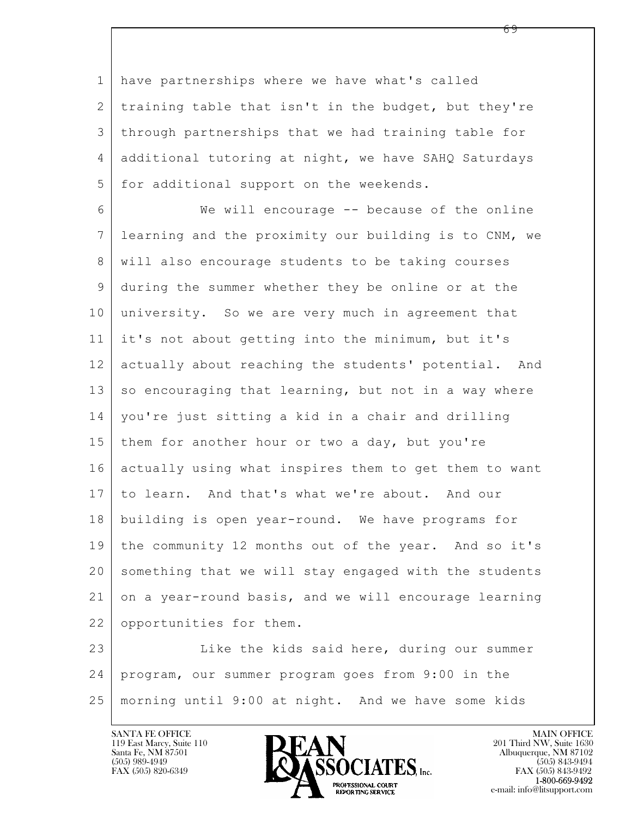1 have partnerships where we have what's called 2 training table that isn't in the budget, but they're 3 through partnerships that we had training table for 4 additional tutoring at night, we have SAHQ Saturdays 5 for additional support on the weekends.

6 We will encourage -- because of the online 7 learning and the proximity our building is to CNM, we 8 will also encourage students to be taking courses 9 during the summer whether they be online or at the 10 university. So we are very much in agreement that 11 it's not about getting into the minimum, but it's 12 actually about reaching the students' potential. And  $13$  so encouraging that learning, but not in a way where 14 you're just sitting a kid in a chair and drilling 15 | them for another hour or two a day, but you're 16 actually using what inspires them to get them to want 17 to learn. And that's what we're about. And our 18 building is open year-round. We have programs for 19 the community 12 months out of the year. And so it's 20 something that we will stay engaged with the students 21 on a year-round basis, and we will encourage learning 22 opportunities for them.

 $\mathbf{L}$  23 Like the kids said here, during our summer 24 program, our summer program goes from 9:00 in the 25 morning until 9:00 at night. And we have some kids



FAX (505) 843-9492 e-mail: info@litsupport.com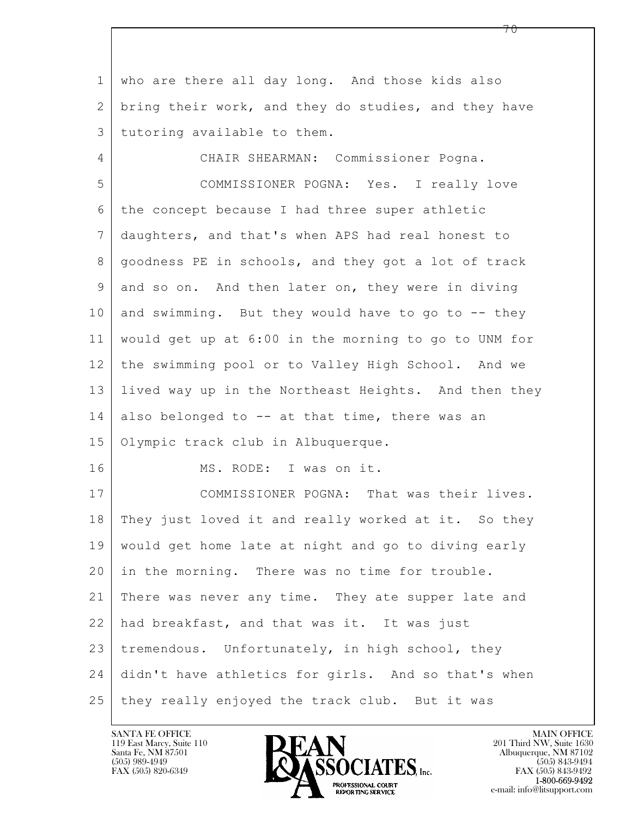$\mathbf{L}$  1 who are there all day long. And those kids also 2 bring their work, and they do studies, and they have 3 tutoring available to them. 4 CHAIR SHEARMAN: Commissioner Pogna. 5 COMMISSIONER POGNA: Yes. I really love 6 the concept because I had three super athletic 7 daughters, and that's when APS had real honest to 8 goodness PE in schools, and they got a lot of track 9 and so on. And then later on, they were in diving 10 and swimming. But they would have to go to  $-$ - they 11 would get up at 6:00 in the morning to go to UNM for 12 the swimming pool or to Valley High School. And we 13 lived way up in the Northeast Heights. And then they 14 also belonged to  $-$  at that time, there was an 15 | Olympic track club in Albuquerque. 16 MS. RODE: I was on it. 17 COMMISSIONER POGNA: That was their lives. 18 They just loved it and really worked at it. So they 19 would get home late at night and go to diving early 20 | in the morning. There was no time for trouble. 21 There was never any time. They ate supper late and 22 had breakfast, and that was it. It was just  $23$  tremendous. Unfortunately, in high school, they 24 didn't have athletics for girls. And so that's when 25 they really enjoyed the track club. But it was



FAX (505) 843-9492 e-mail: info@litsupport.com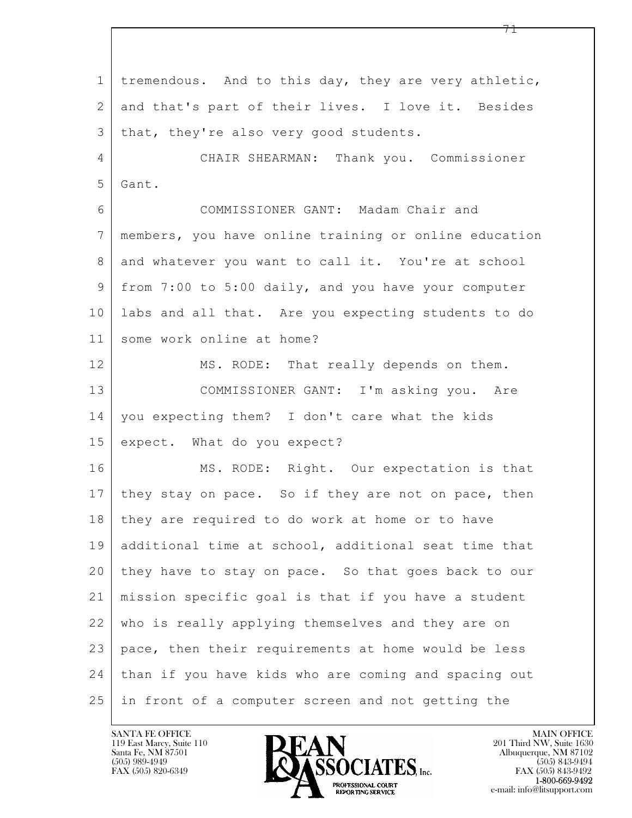$\mathbf{L}$  1 tremendous. And to this day, they are very athletic, 2 and that's part of their lives. I love it. Besides 3 | that, they're also very good students. 4 CHAIR SHEARMAN: Thank you. Commissioner 5 Gant. 6 COMMISSIONER GANT: Madam Chair and 7 members, you have online training or online education 8 and whatever you want to call it. You're at school 9 from 7:00 to 5:00 daily, and you have your computer 10 labs and all that. Are you expecting students to do 11 some work online at home? 12 MS. RODE: That really depends on them. 13 COMMISSIONER GANT: I'm asking you. Are 14 | you expecting them? I don't care what the kids 15 expect. What do you expect? 16 MS. RODE: Right. Our expectation is that 17 | they stay on pace. So if they are not on pace, then 18 they are required to do work at home or to have 19 additional time at school, additional seat time that 20 they have to stay on pace. So that goes back to our 21 mission specific goal is that if you have a student 22 who is really applying themselves and they are on 23 pace, then their requirements at home would be less 24 than if you have kids who are coming and spacing out 25 in front of a computer screen and not getting the

119 East Marcy, Suite 110<br>Santa Fe, NM 87501

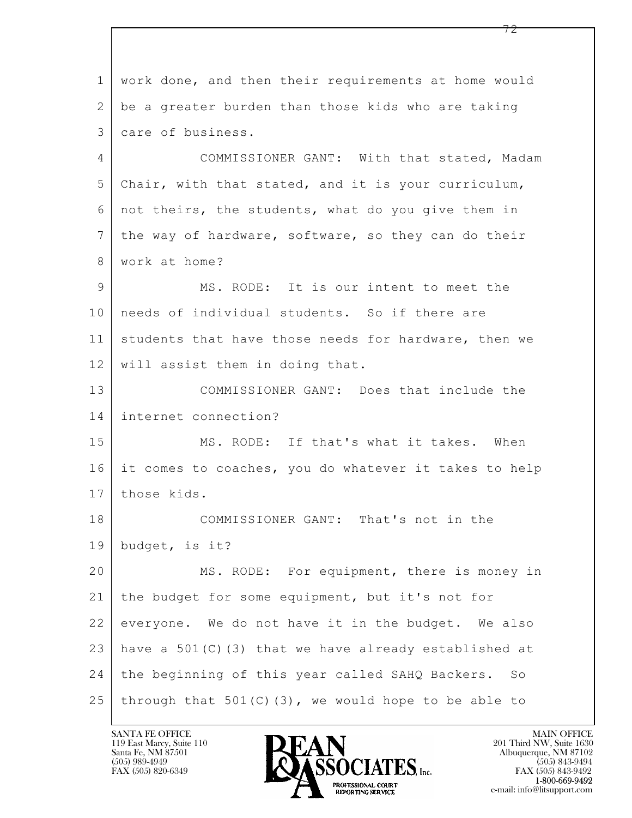$\mathbf{L}$  1 work done, and then their requirements at home would 2 be a greater burden than those kids who are taking 3 care of business. 4 COMMISSIONER GANT: With that stated, Madam 5 Chair, with that stated, and it is your curriculum, 6 not theirs, the students, what do you give them in 7 | the way of hardware, software, so they can do their 8 work at home? 9 MS. RODE: It is our intent to meet the 10 | needs of individual students. So if there are 11 students that have those needs for hardware, then we 12 | will assist them in doing that. 13 COMMISSIONER GANT: Does that include the 14 internet connection? 15 MS. RODE: If that's what it takes. When 16 it comes to coaches, you do whatever it takes to help 17 those kids. 18 COMMISSIONER GANT: That's not in the 19 budget, is it? 20 MS. RODE: For equipment, there is money in 21 the budget for some equipment, but it's not for 22 everyone. We do not have it in the budget. We also 23 have a 501 (C) (3) that we have already established at 24 the beginning of this year called SAHQ Backers. So 25 | through that  $501(C)(3)$ , we would hope to be able to

119 East Marcy, Suite 110<br>Santa Fe, NM 87501

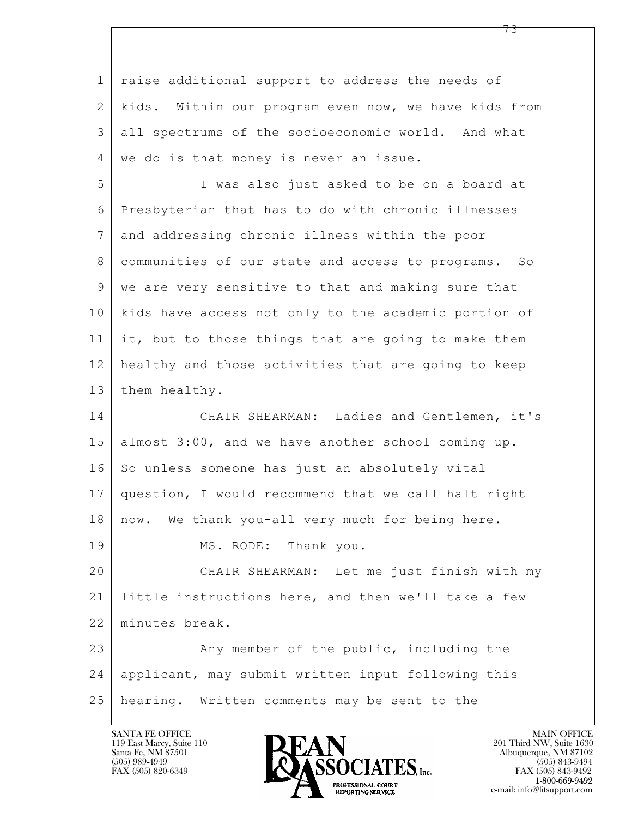$\mathbf{L}$  1 raise additional support to address the needs of 2 kids. Within our program even now, we have kids from 3 all spectrums of the socioeconomic world. And what 4 | we do is that money is never an issue. 5 I was also just asked to be on a board at 6 Presbyterian that has to do with chronic illnesses 7 and addressing chronic illness within the poor 8 communities of our state and access to programs. So 9 we are very sensitive to that and making sure that 10 kids have access not only to the academic portion of 11 it, but to those things that are going to make them 12 healthy and those activities that are going to keep 13 them healthy. 14 CHAIR SHEARMAN: Ladies and Gentlemen, it's 15 almost 3:00, and we have another school coming up. 16 So unless someone has just an absolutely vital 17 question, I would recommend that we call halt right 18 | now. We thank you-all very much for being here. 19 MS. RODE: Thank you. 20 CHAIR SHEARMAN: Let me just finish with my 21 little instructions here, and then we'll take a few 22 minutes break. 23 Any member of the public, including the 24 applicant, may submit written input following this 25 hearing. Written comments may be sent to the

119 East Marcy, Suite 110<br>Santa Fe, NM 87501



73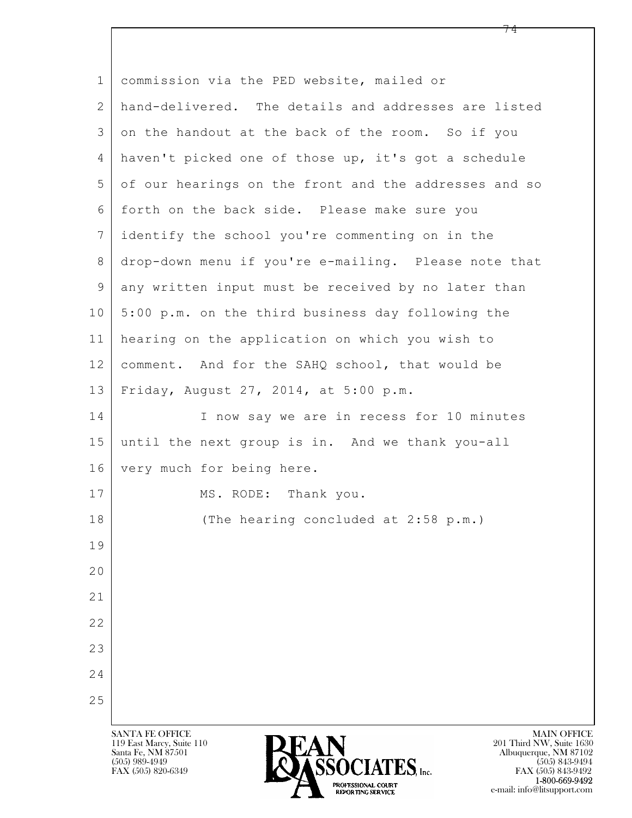| $\mathbf 1$ | commission via the PED website, mailed or                                                                                                     |
|-------------|-----------------------------------------------------------------------------------------------------------------------------------------------|
| 2           | hand-delivered. The details and addresses are listed                                                                                          |
| 3           | on the handout at the back of the room. So if you                                                                                             |
| 4           | haven't picked one of those up, it's got a schedule                                                                                           |
| 5           | of our hearings on the front and the addresses and so                                                                                         |
| 6           | forth on the back side. Please make sure you                                                                                                  |
| 7           | identify the school you're commenting on in the                                                                                               |
| 8           | drop-down menu if you're e-mailing. Please note that                                                                                          |
| $\mathsf 9$ | any written input must be received by no later than                                                                                           |
| 10          | 5:00 p.m. on the third business day following the                                                                                             |
| 11          | hearing on the application on which you wish to                                                                                               |
| 12          | comment. And for the SAHQ school, that would be                                                                                               |
| 13          | Friday, August 27, 2014, at 5:00 p.m.                                                                                                         |
| 14          | I now say we are in recess for 10 minutes                                                                                                     |
| 15          | until the next group is in. And we thank you-all                                                                                              |
| 16          | very much for being here.                                                                                                                     |
| 17          | MS. RODE: Thank you.                                                                                                                          |
| 18          | (The hearing concluded at 2:58 p.m.)                                                                                                          |
| 19          |                                                                                                                                               |
| 20          |                                                                                                                                               |
| 21          |                                                                                                                                               |
| 22          |                                                                                                                                               |
| 23          |                                                                                                                                               |
| 24          |                                                                                                                                               |
| 25          |                                                                                                                                               |
|             | <b>MAIN OFFICE</b>                                                                                                                            |
|             | <b>SANTA FE OFFICE</b><br><b>PEAN</b><br>119 East Marcy, Suite 110<br>201 Third NW, Suite 1630<br>Albuquerque, NM 87102<br>Santa Fe, NM 87501 |



74